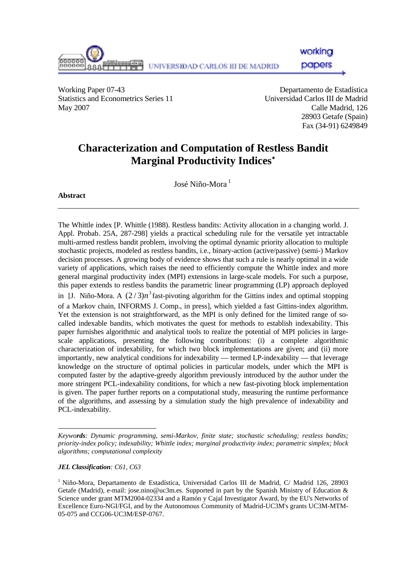

working

papers

Working Paper 07-43 Departamento de Estadística Statistics and Econometrics Series 11 Universidad Carlos III de Madrid May 2007 Calle Madrid, 126

28903 Getafe (Spain) Fax (34-91) 6249849

# **Characterization and Computation of Restless Bandit Marginal Productivity Indices**[∗](#page-0-0)

 $\text{Isé Niño-Mora}^1$ 

**Abstract** 

The Whittle index [P. Whittle (1988). Restless bandits: Activity allocation in a changing world. J. Appl. Probab. 25A, 287-298] yields a practical scheduling rule for the versatile yet intractable multi-armed restless bandit problem, involving the optimal dynamic priority allocation to multiple stochastic projects, modeled as restless bandits, i.e., binary-action (active/passive) (semi-) Markov decision processes. A growing body of evidence shows that such a rule is nearly optimal in a wide variety of applications, which raises the need to efficiently compute the Whittle index and more general marginal productivity index (MPI) extensions in large-scale models. For such a purpose, this paper extends to restless bandits the parametric linear programming (LP) approach deployed in [J. Niño-Mora. A  $(2/3)n^3$  fast-pivoting algorithm for the Gittins index and optimal stopping of a Markov chain, INFORMS J. Comp., in press], which yielded a fast Gittins-index algorithm. Yet the extension is not straightforward, as the MPI is only defined for the limited range of socalled indexable bandits, which motivates the quest for methods to establish indexability. This paper furnishes algorithmic and analytical tools to realize the potential of MPI policies in largescale applications, presenting the following contributions: (i) a complete algorithmic characterization of indexability, for which two block implementations are given; and (ii) more importantly, new analytical conditions for indexability — termed LP-indexability — that leverage knowledge on the structure of optimal policies in particular models, under which the MPI is computed faster by the adaptive-greedy algorithm previously introduced by the author under the more stringent PCL-indexability conditions, for which a new fast-pivoting block implementation is given. The paper further reports on a computational study, measuring the runtime performance of the algorithms, and assessing by a simulation study the high prevalence of indexability and PCL-indexability.

*JEL Classification: C61, C63* 

l

<span id="page-0-0"></span>*Keywords: Dynamic programming, semi-Markov, finite state; stochastic scheduling; restless bandits; priority-index policy; indexability; Whittle index; marginal productivity index; parametric simplex; block algorithms; computational complexity* 

<sup>1</sup> Niño-Mora, Departamento de Estadística, Universidad Carlos III de Madrid, C/ Madrid 126, 28903 Getafe (Madrid), e-mail: jose.nino@uc3m.es. Supported in part by the Spanish Ministry of Education & Science under grant MTM2004-02334 and a Ramón y Cajal Investigator Award, by the EU's Networks of Excellence Euro-NGI/FGI, and by the Autonomous Community of Madrid-UC3M's grants UC3M-MTM-05-075 and CCG06-UC3M/ESP-0767.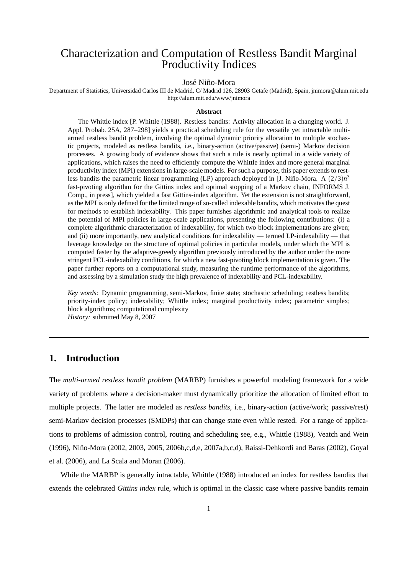# Characterization and Computation of Restless Bandit Marginal Productivity Indices

#### José Niño-Mora

Department of Statistics, Universidad Carlos III de Madrid, C/ Madrid 126, 28903 Getafe (Madrid), Spain, jnimora@alum.mit.edu http://alum.mit.edu/www/jnimora

#### **Abstract**

The Whittle index [P. Whittle (1988). Restless bandits: Activity allocation in a changing world. J. Appl. Probab. 25A, 287–298] yields a practical scheduling rule for the versatile yet intractable multiarmed restless bandit problem, involving the optimal dynamic priority allocation to multiple stochastic projects, modeled as restless bandits, i.e., binary-action (active/passive) (semi-) Markov decision processes. A growing body of evidence shows that such a rule is nearly optimal in a wide variety of applications, which raises the need to efficiently compute the Whittle index and more general marginal productivity index (MPI) extensions in large-scale models. For such a purpose, this paper extends to restless bandits the parametric linear programming (LP) approach deployed in [J. Niño-Mora. A  $(2/3)n^3$ fast-pivoting algorithm for the Gittins index and optimal stopping of a Markov chain, INFORMS J. Comp., in press], which yielded a fast Gittins-index algorithm. Yet the extension is not straightforward, as the MPI is only defined for the limited range of so-called indexable bandits, which motivates the quest for methods to establish indexability. This paper furnishes algorithmic and analytical tools to realize the potential of MPI policies in large-scale applications, presenting the following contributions: (i) a complete algorithmic characterization of indexability, for which two block implementations are given; and (ii) more importantly, new analytical conditions for indexability — termed LP-indexability — that leverage knowledge on the structure of optimal policies in particular models, under which the MPI is computed faster by the adaptive-greedy algorithm previously introduced by the author under the more stringent PCL-indexability conditions, for which a new fast-pivoting block implementation is given. The paper further reports on a computational study, measuring the runtime performance of the algorithms, and assessing by a simulation study the high prevalence of indexability and PCL-indexability.

*Key words:* Dynamic programming, semi-Markov, finite state; stochastic scheduling; restless bandits; priority-index policy; indexability; Whittle index; marginal productivity index; parametric simplex; block algorithms; computational complexity *History:* submitted May 8, 2007

### **1. Introduction**

The *multi-armed restless bandit problem* (MARBP) furnishes a powerful modeling framework for a wide variety of problems where a decision-maker must dynamically prioritize the allocation of limited effort to multiple projects. The latter are modeled as *restless bandits*, i.e., binary-action (active/work; passive/rest) semi-Markov decision processes (SMDPs) that can change state even while rested. For a range of applications to problems of admission control, routing and scheduling see, e.g., Whittle (1988), Veatch and Wein (1996), Ni˜no-Mora (2002, 2003, 2005, 2006b,c,d,e, 2007a,b,c,d), Raissi-Dehkordi and Baras (2002), Goyal et al. (2006), and La Scala and Moran (2006).

While the MARBP is generally intractable, Whittle (1988) introduced an index for restless bandits that extends the celebrated *Gittins index* rule, which is optimal in the classic case where passive bandits remain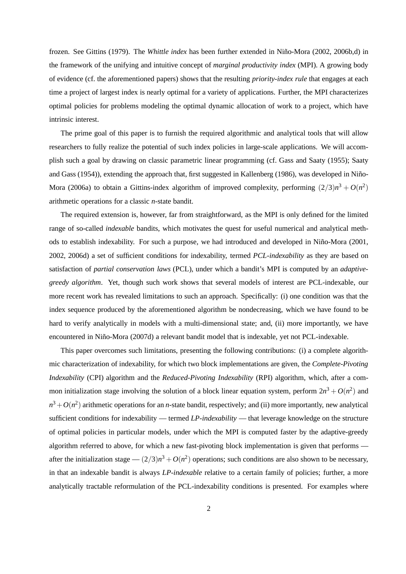frozen. See Gittins (1979). The *Whittle index* has been further extended in Niño-Mora (2002, 2006b,d) in the framework of the unifying and intuitive concept of *marginal productivity index* (MPI). A growing body of evidence (cf. the aforementioned papers) shows that the resulting *priority-index rule* that engages at each time a project of largest index is nearly optimal for a variety of applications. Further, the MPI characterizes optimal policies for problems modeling the optimal dynamic allocation of work to a project, which have intrinsic interest.

The prime goal of this paper is to furnish the required algorithmic and analytical tools that will allow researchers to fully realize the potential of such index policies in large-scale applications. We will accomplish such a goal by drawing on classic parametric linear programming (cf. Gass and Saaty (1955); Saaty and Gass (1954)), extending the approach that, first suggested in Kallenberg (1986), was developed in Niño-Mora (2006a) to obtain a Gittins-index algorithm of improved complexity, performing  $(2/3)n^3 + O(n^2)$ arithmetic operations for a classic *n*-state bandit.

The required extension is, however, far from straightforward, as the MPI is only defined for the limited range of so-called *indexable* bandits, which motivates the quest for useful numerical and analytical methods to establish indexability. For such a purpose, we had introduced and developed in Niño-Mora (2001, 2002, 2006d) a set of sufficient conditions for indexability, termed *PCL-indexability* as they are based on satisfaction of *partial conservation laws* (PCL), under which a bandit's MPI is computed by an *adaptivegreedy algorithm*. Yet, though such work shows that several models of interest are PCL-indexable, our more recent work has revealed limitations to such an approach. Specifically: (i) one condition was that the index sequence produced by the aforementioned algorithm be nondecreasing, which we have found to be hard to verify analytically in models with a multi-dimensional state; and, (ii) more importantly, we have encountered in Niño-Mora (2007d) a relevant bandit model that is indexable, yet not PCL-indexable.

This paper overcomes such limitations, presenting the following contributions: (i) a complete algorithmic characterization of indexability, for which two block implementations are given, the *Complete-Pivoting Indexability* (CPI) algorithm and the *Reduced-Pivoting Indexability* (RPI) algorithm, which, after a common initialization stage involving the solution of a block linear equation system, perform  $2n^3 + O(n^2)$  and  $n^3 + O(n^2)$  arithmetic operations for an *n*-state bandit, respectively; and (ii) more importantly, new analytical sufficient conditions for indexability — termed *LP-indexability* — that leverage knowledge on the structure of optimal policies in particular models, under which the MPI is computed faster by the adaptive-greedy algorithm referred to above, for which a new fast-pivoting block implementation is given that performs after the initialization stage —  $(2/3)n^3 + O(n^2)$  operations; such conditions are also shown to be necessary, in that an indexable bandit is always *LP-indexable* relative to a certain family of policies; further, a more analytically tractable reformulation of the PCL-indexability conditions is presented. For examples where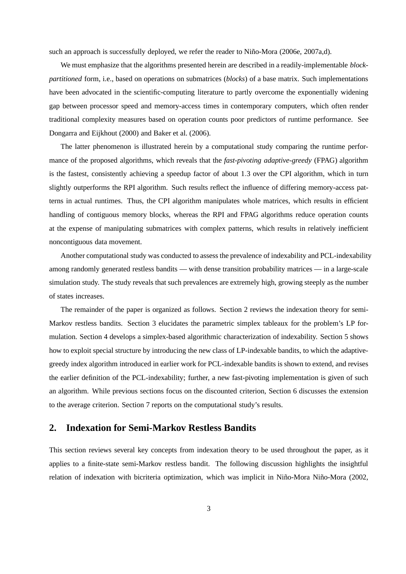such an approach is successfully deployed, we refer the reader to Niño-Mora (2006e, 2007a,d).

We must emphasize that the algorithms presented herein are described in a readily-implementable *blockpartitioned* form, i.e., based on operations on submatrices (*blocks*) of a base matrix. Such implementations have been advocated in the scientific-computing literature to partly overcome the exponentially widening gap between processor speed and memory-access times in contemporary computers, which often render traditional complexity measures based on operation counts poor predictors of runtime performance. See Dongarra and Eijkhout (2000) and Baker et al. (2006).

The latter phenomenon is illustrated herein by a computational study comparing the runtime performance of the proposed algorithms, which reveals that the *fast-pivoting adaptive-greedy* (FPAG) algorithm is the fastest, consistently achieving a speedup factor of about 1.3 over the CPI algorithm, which in turn slightly outperforms the RPI algorithm. Such results reflect the influence of differing memory-access patterns in actual runtimes. Thus, the CPI algorithm manipulates whole matrices, which results in efficient handling of contiguous memory blocks, whereas the RPI and FPAG algorithms reduce operation counts at the expense of manipulating submatrices with complex patterns, which results in relatively inefficient noncontiguous data movement.

Another computational study was conducted to assess the prevalence of indexability and PCL-indexability among randomly generated restless bandits — with dense transition probability matrices — in a large-scale simulation study. The study reveals that such prevalences are extremely high, growing steeply as the number of states increases.

The remainder of the paper is organized as follows. Section 2 reviews the indexation theory for semi-Markov restless bandits. Section 3 elucidates the parametric simplex tableaux for the problem's LP formulation. Section 4 develops a simplex-based algorithmic characterization of indexability. Section 5 shows how to exploit special structure by introducing the new class of LP-indexable bandits, to which the adaptivegreedy index algorithm introduced in earlier work for PCL-indexable bandits is shown to extend, and revises the earlier definition of the PCL-indexability; further, a new fast-pivoting implementation is given of such an algorithm. While previous sections focus on the discounted criterion, Section 6 discusses the extension to the average criterion. Section 7 reports on the computational study's results.

### **2. Indexation for Semi-Markov Restless Bandits**

This section reviews several key concepts from indexation theory to be used throughout the paper, as it applies to a finite-state semi-Markov restless bandit. The following discussion highlights the insightful relation of indexation with bicriteria optimization, which was implicit in Niño-Mora Niño-Mora (2002,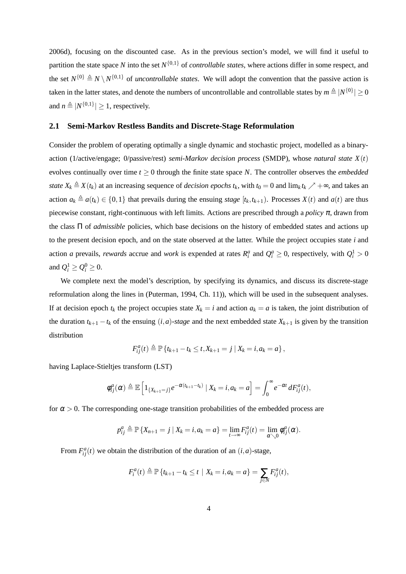2006d), focusing on the discounted case. As in the previous section's model, we will find it useful to partition the state space *N* into the set *N* {0,1} of *controllable states*, where actions differ in some respect, and the set  $N^{\{0\}} \triangleq N \setminus N^{\{0,1\}}$  of *uncontrollable states*. We will adopt the convention that the passive action is taken in the latter states, and denote the numbers of uncontrollable and controllable states by  $m\triangleq |N^{\{0\}}|\geq 0$ and  $n \triangleq |N^{\{0,1\}}| \geq 1$ , respectively.

#### **2.1 Semi-Markov Restless Bandits and Discrete-Stage Reformulation**

Consider the problem of operating optimally a single dynamic and stochastic project, modelled as a binaryaction (1/active/engage; 0/passive/rest) *semi-Markov decision process* (SMDP), whose *natural state X*(*t*) evolves continually over time  $t \geq 0$  through the finite state space *N*. The controller observes the *embedded state*  $X_k \triangleq X(t_k)$  at an increasing sequence of *decision epochs*  $t_k$ , with  $t_0 = 0$  and  $\lim_k t_k \nearrow +\infty$ , and takes an action  $a_k \triangleq a(t_k) \in \{0,1\}$  that prevails during the ensuing *stage*  $[t_k, t_{k+1})$ . Processes  $X(t)$  and  $a(t)$  are thus piecewise constant, right-continuous with left limits. Actions are prescribed through a *policy* <sup>π</sup>, drawn from the class Π of *admissible* policies, which base decisions on the history of embedded states and actions up to the present decision epoch, and on the state observed at the latter. While the project occupies state *i* and action *a* prevails, *rewards* accrue and *work* is expended at rates  $R_i^a$  and  $Q_i^a \ge 0$ , respectively, with  $Q_i^1 > 0$ and  $Q_i^1 \geq Q_i^0 \geq 0$ .

We complete next the model's description, by specifying its dynamics, and discuss its discrete-stage reformulation along the lines in (Puterman, 1994, Ch. 11)), which will be used in the subsequent analyses. If at decision epoch  $t_k$  the project occupies state  $X_k = i$  and action  $a_k = a$  is taken, the joint distribution of the duration  $t_{k+1} - t_k$  of the ensuing  $(i, a)$ -stage and the next embedded state  $X_{k+1}$  is given by the transition distribution

$$
F_{ij}^a(t) \triangleq \mathbb{P}\left\{t_{k+1} - t_k \leq t, X_{k+1} = j \mid X_k = i, a_k = a\right\},\
$$

having Laplace-Stieltjes transform (LST)

$$
\phi_{ij}^a(\alpha) \triangleq \mathbb{E}\left[1_{\{X_{k+1}=j\}}e^{-\alpha(t_{k+1}-t_k)}\,|\,X_k=i, a_k=a\right]=\int_0^\infty e^{-\alpha t}\,dF_{ij}^a(t),
$$

for  $\alpha > 0$ . The corresponding one-stage transition probabilities of the embedded process are

$$
p_{ij}^a \triangleq \mathbb{P}\left\{X_{n+1}=j\,|\,X_k=i,a_k=a\right\}=\lim_{t\to\infty}F_{ij}^a(t)=\lim_{\alpha\searrow 0}\phi_{ij}^a(\alpha).
$$

From  $F_{ij}^a(t)$  we obtain the distribution of the duration of an  $(i, a)$ -stage,

$$
F_i^a(t) \triangleq \mathbb{P}\left\{t_{k+1} - t_k \leq t \mid X_k = i, a_k = a\right\} = \sum_{j \in N} F_{ij}^a(t),
$$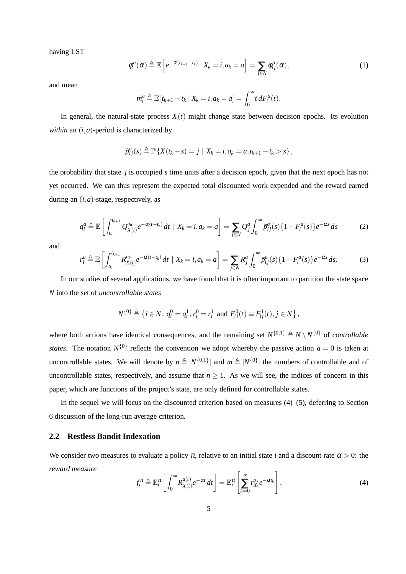having LST

$$
\phi_i^a(\alpha) \triangleq \mathbb{E}\left[e^{-\alpha(t_{k+1}-t_k)} | X_k = i, a_k = a\right] = \sum_{j \in N} \phi_{ij}^a(\alpha), \tag{1}
$$

and mean

$$
m_i^a \triangleq \mathbb{E}\left[t_{k+1}-t_k \mid X_k=i, a_k=a\right] = \int_0^\infty t \, dF_i^a(t).
$$

In general, the natural-state process  $X(t)$  might change state between decision epochs. Its evolution *within* an (*i*,*a*)-period is characterized by

$$
\tilde{p}_{ij}^a(s) \triangleq \mathbb{P}\left\{X(t_k+s) = j \mid X_k = i, a_k = a, t_{k+1} - t_k > s\right\},\
$$

the probability that state *j* is occupied *s* time units after a decision epoch, given that the next epoch has not yet occurred. We can thus represent the expected total discounted work expended and the reward earned during an (*i*,*a*)-stage, respectively, as

$$
q_i^a \triangleq \mathbb{E}\left[\int_{t_k}^{t_{k+1}} Q_{X(t)}^{a_n} e^{-\alpha(t-t_k)} dt \mid X_k = i, a_k = a\right] = \sum_{j \in N} Q_j^a \int_0^{\infty} \tilde{p}_{ij}^a(s) \{1 - F_i^a(s)\} e^{-\alpha s} ds \tag{2}
$$

and

$$
r_i^a \triangleq \mathbb{E}\left[\int_{t_k}^{t_{k+1}} R_{X(t)}^{a_k} e^{-\alpha(t-t_k)} dt \mid X_k = i, a_k = a\right] = \sum_{j \in N} R_j^a \int_0^{\infty} \tilde{p}_{ij}^a(s) \{1 - F_i^a(s)\} e^{-\alpha s} ds. \tag{3}
$$

In our studies of several applications, we have found that it is often important to partition the state space *N* into the set of *uncontrollable states*

$$
N^{\{0\}} \triangleq \left\{ i \in N : q_i^0 = q_i^1, r_i^0 = r_i^1 \text{ and } F_{ij}^0(t) \equiv F_{ij}^1(t), j \in N \right\},\
$$

where both actions have identical consequences, and the remaining set  $N^{\{0,1\}} \triangleq N \setminus N^{\{0\}}$  of *controllable states*. The notation  $N^{\{0\}}$  reflects the convention we adopt whereby the passive action  $a = 0$  is taken at uncontrollable states. We will denote by  $n \triangleq |N^{\{0,1\}}|$  and  $m \triangleq |N^{\{0\}}|$  the numbers of controllable and of uncontrollable states, respectively, and assume that  $n \ge 1$ . As we will see, the indices of concern in this paper, which are functions of the project's state, are only defined for controllable states.

In the sequel we will focus on the discounted criterion based on measures (4)–(5), deferring to Section 6 discussion of the long-run average criterion.

#### **2.2 Restless Bandit Indexation**

We consider two measures to evaluate a policy  $\pi$ , relative to an initial state *i* and a discount rate  $\alpha > 0$ : the *reward measure*

$$
f_i^{\pi} \triangleq \mathbb{E}_i^{\pi} \left[ \int_0^{\infty} R_{X(t)}^{a(t)} e^{-\alpha t} dt \right] = \mathbb{E}_i^{\pi} \left[ \sum_{k=0}^{\infty} r_{X_k}^{a_k} e^{-\alpha t_k} \right], \tag{4}
$$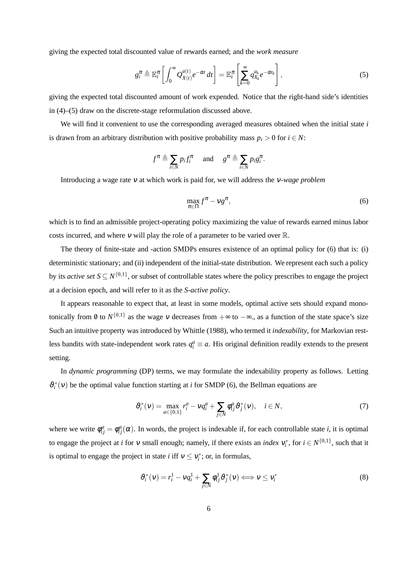giving the expected total discounted value of rewards earned; and the *work measure*

$$
g_i^{\pi} \triangleq \mathbb{E}_i^{\pi} \left[ \int_0^{\infty} Q_{X(t)}^{a(t)} e^{-\alpha t} dt \right] = \mathbb{E}_i^{\pi} \left[ \sum_{k=0}^{\infty} q_{X_k}^{a_k} e^{-\alpha t_k} \right],
$$
 (5)

giving the expected total discounted amount of work expended. Notice that the right-hand side's identities in (4)–(5) draw on the discrete-stage reformulation discussed above.

We will find it convenient to use the corresponding averaged measures obtained when the initial state *i* is drawn from an arbitrary distribution with positive probability mass  $p_i > 0$  for  $i \in N$ :

$$
f^{\pi} \triangleq \sum_{i \in N} p_i f_i^{\pi}
$$
 and  $g^{\pi} \triangleq \sum_{i \in N} p_i g_i^{\pi}$ .

Introducing a wage rate <sup>ν</sup> at which work is paid for, we will address the <sup>ν</sup>*-wage problem*

$$
\max_{\pi \in \Pi} f^{\pi} - \nu g^{\pi},\tag{6}
$$

which is to find an admissible project-operating policy maximizing the value of rewards earned minus labor costs incurred, and where  $v$  will play the role of a parameter to be varied over  $\mathbb{R}$ .

The theory of finite-state and -action SMDPs ensures existence of an optimal policy for (6) that is: (i) deterministic stationary; and (ii) independent of the initial-state distribution. We represent each such a policy by its *active set*  $S \subseteq N^{\{0,1\}}$ , or subset of controllable states where the policy prescribes to engage the project at a decision epoch, and will refer to it as the *S-active policy*.

It appears reasonable to expect that, at least in some models, optimal active sets should expand monotonically from 0 to  $N^{\{0,1\}}$  as the wage v decreases from  $+\infty$  to  $-\infty$ ., as a function of the state space's size Such an intuitive property was introduced by Whittle (1988), who termed it *indexability*, for Markovian restless bandits with state-independent work rates  $q_i^a \equiv a$ . His original definition readily extends to the present setting.

In *dynamic programming* (DP) terms, we may formulate the indexability property as follows. Letting  $\vartheta_i^*(v)$  be the optimal value function starting at *i* for SMDP (6), the Bellman equations are

$$
\vartheta_i^*(v) = \max_{a \in \{0,1\}} r_i^a - v q_i^a + \sum_{j \in N} \varphi_{ij}^a \vartheta_j^*(v), \quad i \in N,
$$
\n<sup>(7)</sup>

where we write  $\phi_{ij}^a = \phi_{ij}^a(\alpha)$ . In words, the project is indexable if, for each controllable state *i*, it is optimal to engage the project at *i* for *v* small enough; namely, if there exists an *index*  $v_i^*$ , for  $i \in N^{\{0,1\}}$ , such that it is optimal to engage the project in state *i* iff  $v \le v_i^*$ ; or, in formulas,

$$
\vartheta_i^*(v) = r_i^1 - vq_i^1 + \sum_{j \in N} \varphi_{ij}^1 \vartheta_j^*(v) \Longleftrightarrow v \le v_i^*
$$
\n(8)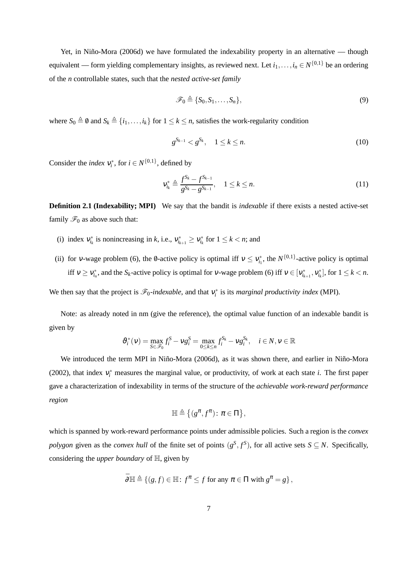Yet, in Niño-Mora (2006d) we have formulated the indexability property in an alternative — though equivalent — form yielding complementary insights, as reviewed next. Let  $i_1, \ldots, i_n \in N^{\{0,1\}}$  be an ordering of the *n* controllable states, such that the *nested active-set family*

$$
\mathscr{F}_0 \triangleq \{S_0, S_1, \dots, S_n\},\tag{9}
$$

where  $S_0 \triangleq \emptyset$  and  $S_k \triangleq \{i_1,\ldots,i_k\}$  for  $1 \leq k \leq n$ , satisfies the work-regularity condition

$$
g^{S_{k-1}} < g^{S_k}, \quad 1 \le k \le n. \tag{10}
$$

Consider the *index*  $v_i^*$ , for  $i \in N^{\{0,1\}}$ , defined by

$$
\mathbf{v}_{i_k}^* \triangleq \frac{f^{S_k} - f^{S_{k-1}}}{g^{S_k} - g^{S_{k-1}}}, \quad 1 \le k \le n. \tag{11}
$$

**Definition 2.1 (Indexability; MPI)** We say that the bandit is *indexable* if there exists a nested active-set family  $\mathcal{F}_0$  as above such that:

- (i) index  $v_{i_k}^*$  is nonincreasing in *k*, i.e.,  $v_{i_{k+1}}^* \ge v_{i_k}^*$  for  $1 \le k < n$ ; and
- (ii) for *v*-wage problem (6), the 0-active policy is optimal iff  $v \le v_{i_1}^*$ , the  $N^{\{0,1\}}$ -active policy is optimal iff  $v \ge v_{i_n}^*$ , and the *S*<sub>*k*</sub>-active policy is optimal for v-wage problem (6) iff  $v \in [v_{i_{k+1}}^*, v_{i_k}^*]$ , for  $1 \le k < n$ .

We then say that the project is  $\mathcal{F}_0$ -indexable, and that  $v_i^*$  is its *marginal productivity index* (MPI).

Note: as already noted in nm (give the reference), the optimal value function of an indexable bandit is given by

$$
\vartheta_i^*(v) = \max_{S \in \mathcal{F}_0} f_i^S - v g_i^S = \max_{0 \le k \le n} f_i^{S_k} - v g_i^{S_k}, \quad i \in \mathbb{N}, v \in \mathbb{R}
$$

We introduced the term MPI in Niño-Mora (2006d), as it was shown there, and earlier in Niño-Mora (2002), that index  $v_i^*$  measures the marginal value, or productivity, of work at each state *i*. The first paper gave a characterization of indexability in terms of the structure of the *achievable work-reward performance region*

$$
\mathbb{H} \triangleq \left\{ (g^{\pi}, f^{\pi}) \colon \pi \in \Pi \right\},\
$$

which is spanned by work-reward performance points under admissible policies. Such a region is the *convex polygon* given as the *convex hull* of the finite set of points  $(g^S, f^S)$ , for all active sets  $S \subseteq N$ . Specifically, considering the *upper boundary* of H, given by

$$
\bar{\partial} \mathbb{H} \triangleq \{ (g, f) \in \mathbb{H} : f^{\pi} \leq f \text{ for any } \pi \in \Pi \text{ with } g^{\pi} = g \},
$$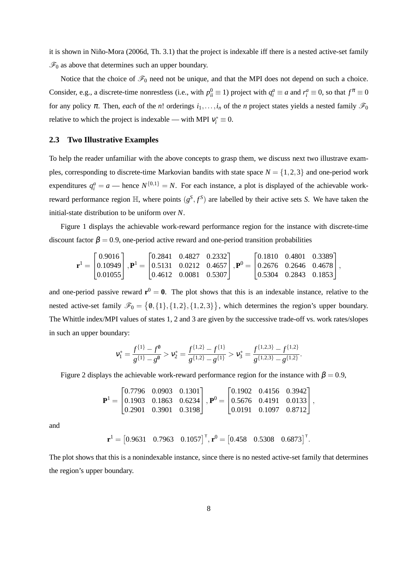it is shown in Niño-Mora (2006d, Th. 3.1) that the project is indexable iff there is a nested active-set family  $\mathcal{F}_0$  as above that determines such an upper boundary.

Notice that the choice of  $\mathcal{F}_0$  need not be unique, and that the MPI does not depend on such a choice. Consider, e.g., a discrete-time nonrestless (i.e., with  $p_{ii}^0 \equiv 1$ ) project with  $q_i^a \equiv a$  and  $r_i^a \equiv 0$ , so that  $f^{\pi} \equiv 0$ for any policy  $\pi$ . Then, *each* of the *n*! orderings  $i_1, \ldots, i_n$  of the *n* project states yields a nested family  $\mathcal{F}_0$ relative to which the project is indexable — with MPI  $v_i^* \equiv 0$ .

#### **2.3 Two Illustrative Examples**

To help the reader unfamiliar with the above concepts to grasp them, we discuss next two illustrave examples, corresponding to discrete-time Markovian bandits with state space  $N = \{1,2,3\}$  and one-period work expenditures  $q_i^a = a$  — hence  $N^{\{0,1\}} = N$ . For each instance, a plot is displayed of the achievable workreward performance region  $\mathbb{H}$ , where points  $(g^S, f^S)$  are labelled by their active sets *S*. We have taken the initial-state distribution to be uniform over *N*.

Figure 1 displays the achievable work-reward performance region for the instance with discrete-time discount factor  $\beta = 0.9$ , one-period active reward and one-period transition probabilities

$$
\mathbf{r}^1 = \begin{bmatrix} 0.9016 \\ 0.10949 \\ 0.01055 \end{bmatrix}, \mathbf{P}^1 = \begin{bmatrix} 0.2841 & 0.4827 & 0.2332 \\ 0.5131 & 0.0212 & 0.4657 \\ 0.4612 & 0.0081 & 0.5307 \end{bmatrix}, \mathbf{P}^0 = \begin{bmatrix} 0.1810 & 0.4801 & 0.3389 \\ 0.2676 & 0.2646 & 0.4678 \\ 0.5304 & 0.2843 & 0.1853 \end{bmatrix},
$$

and one-period passive reward  $\mathbf{r}^0 = \mathbf{0}$ . The plot shows that this is an indexable instance, relative to the nested active-set family  $\mathscr{F}_0 = \{0, \{1\}, \{1,2\}, \{1,2,3\}\}\$ , which determines the region's upper boundary. The Whittle index/MPI values of states 1, 2 and 3 are given by the successive trade-off vs. work rates/slopes in such an upper boundary:

$$
v_1^* = \frac{f^{\{1\}} - f^0}{g^{\{1\}} - g^0} > v_2^* = \frac{f^{\{1,2\}} - f^{\{1\}}}{g^{\{1,2\}} - g^{\{1\}}} > v_3^* = \frac{f^{\{1,2,3\}} - f^{\{1,2\}}}{g^{\{1,2,3\}} - g^{\{1,2\}}}.
$$

Figure 2 displays the achievable work-reward performance region for the instance with  $\beta = 0.9$ ,

$$
\mathbf{P}^1 = \begin{bmatrix} 0.7796 & 0.0903 & 0.1301 \\ 0.1903 & 0.1863 & 0.6234 \\ 0.2901 & 0.3901 & 0.3198 \end{bmatrix}, \mathbf{P}^0 = \begin{bmatrix} 0.1902 & 0.4156 & 0.3942 \\ 0.5676 & 0.4191 & 0.0133 \\ 0.0191 & 0.1097 & 0.8712 \end{bmatrix},
$$

and

$$
\mathbf{r}^{1} = \begin{bmatrix} 0.9631 & 0.7963 & 0.1057 \end{bmatrix}^{\mathsf{T}}, \mathbf{r}^{0} = \begin{bmatrix} 0.458 & 0.5308 & 0.6873 \end{bmatrix}^{\mathsf{T}}.
$$

The plot shows that this is a nonindexable instance, since there is no nested active-set family that determines the region's upper boundary.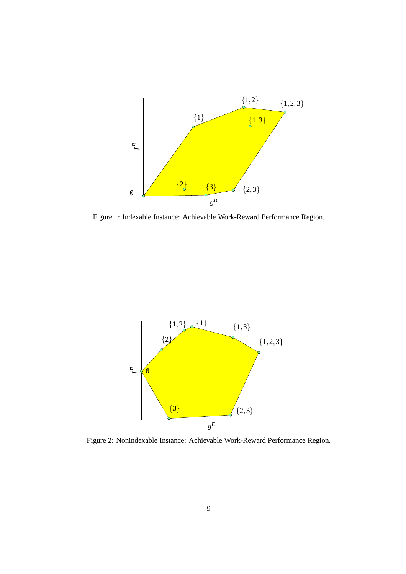

Figure 1: Indexable Instance: Achievable Work-Reward Performance Region.



Figure 2: Nonindexable Instance: Achievable Work-Reward Performance Region.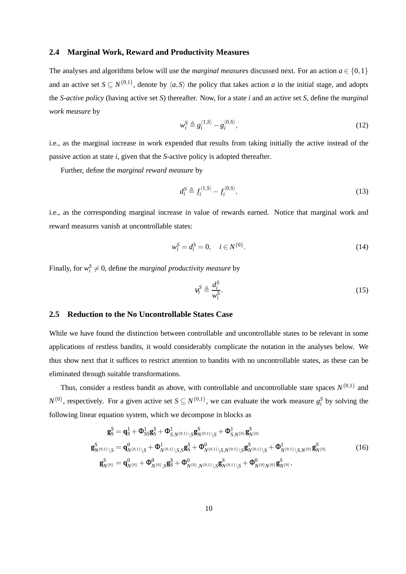#### **2.4 Marginal Work, Reward and Productivity Measures**

The analyses and algorithms below will use the *marginal measures* discussed next. For an action  $a \in \{0,1\}$ and an active set  $S \subseteq N^{\{0,1\}}$ , denote by  $\langle a, S \rangle$  the policy that takes action *a* in the initial stage, and adopts the *S-active policy* (having active set *S*) thereafter. Now, for a state *i* and an active set *S*, define the *marginal work measure* by

$$
w_i^S \triangleq g_i^{\langle 1, S \rangle} - g_i^{\langle 0, S \rangle},\tag{12}
$$

i.e., as the marginal increase in work expended that results from taking initially the active instead of the passive action at state *i*, given that the *S*-active policy is adopted thereafter.

Further, define the *marginal reward measure* by

$$
d_i^S \triangleq f_i^{\langle 1, S \rangle} - f_i^{\langle 0, S \rangle},\tag{13}
$$

i.e., as the corresponding marginal increase in value of rewards earned. Notice that marginal work and reward measures vanish at uncontrollable states:

$$
w_i^S = d_i^S = 0, \quad i \in N^{\{0\}}.
$$
\n(14)

Finally, for  $w_i^S \neq 0$ , define the *marginal productivity measure* by

$$
v_i^S \triangleq \frac{d_i^S}{w_i^S}.\tag{15}
$$

#### **2.5 Reduction to the No Uncontrollable States Case**

While we have found the distinction between controllable and uncontrollable states to be relevant in some applications of restless bandits, it would considerably complicate the notation in the analyses below. We thus show next that it suffices to restrict attention to bandits with no uncontrollable states, as these can be eliminated through suitable transformations.

Thus, consider a restless bandit as above, with controllable and uncontrollable state spaces  $N^{\{0,1\}}$  and  $N^{\{0\}}$ , respectively. For a given active set  $S \subseteq N^{\{0,1\}}$ , we can evaluate the work measure  $g_i^S$  by solving the following linear equation system, which we decompose in blocks as

$$
\mathbf{g}_{S}^{S} = \mathbf{q}_{S}^{1} + \Phi_{SS}^{1} \mathbf{g}_{S}^{S} + \Phi_{S,N^{\{0,1\}}\setminus S}^{1} \mathbf{g}_{N^{\{0\}}}^{S} + \Phi_{S,N^{\{0\}}}^{1} \mathbf{g}_{N^{\{0\}}}^{S}
$$
\n
$$
\mathbf{g}_{N^{\{0,1\}}\setminus S}^{S} = \mathbf{q}_{N^{\{0,1\}}\setminus S}^{0} + \Phi_{N^{\{0,1\}}\setminus S,S}^{1} \mathbf{g}_{S}^{S} + \Phi_{N^{\{0,1\}}\setminus S,N^{\{0,1\}}\setminus S}^{0} \mathbf{g}_{N^{\{0,1\}}\setminus S,N^{\{0\}}}\mathbf{g}_{N^{\{0\}}}^{S}
$$
\n
$$
\mathbf{g}_{N^{\{0\}}}^{S} = \mathbf{q}_{N^{\{0\}}}^{0} + \Phi_{N^{\{0\}}\setminus S}^{0} \mathbf{g}_{S}^{S} + \Phi_{N^{\{0\}}\setminus N^{\{0,1\}}\setminus S}^{0} \mathbf{g}_{N^{\{0,1\}}\setminus S}^{S} + \Phi_{N^{\{0\}}\setminus N^{\{0\}}}^{0} \mathbf{g}_{N^{\{0\}}}^{S},
$$
\n(16)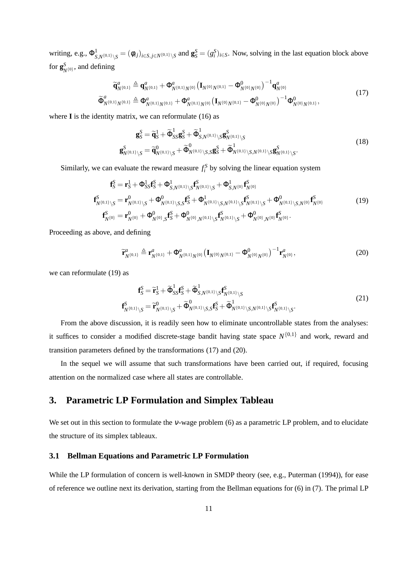writing, e.g.,  $\Phi^1_{S,N^{\{0,1\}}\backslash S} = (\phi_{ij})_{i \in S, j \in N^{\{0,1\}}\backslash S}$  and  $\mathbf{g}_S^S = (g_i^S)_{i \in S}$ . Now, solving in the last equation block above for  $\mathbf{g}_{N^{\{0\}}}^{S}$ , and defining

$$
\widetilde{\mathbf{q}}_{N^{\{0,1\}}}\Delta \mathbf{q}_{N^{\{0,1\}}}^a + \boldsymbol{\Phi}_{N^{\{0,1\}}N^{\{0\}}}^a \left(\mathbf{I}_{N^{\{0\}}N^{\{0,1\}}} - \boldsymbol{\Phi}_{N^{\{0\}}N^{\{0\}}}^0\right)^{-1} \mathbf{q}_{N^{\{0\}}}^a \n\widetilde{\Phi}_{N^{\{0,1\}}N^{\{0,1\}}}^a \Delta \mathbf{q}_{N^{\{0,1\}}N^{\{0,1\}}}^a + \mathbf{p}_{N^{\{0,1\}}N^{\{0,1\}}}^a + \mathbf{p}_{N^{\{0\}}N^{\{0\}}}^a \left(\mathbf{I}_{N^{\{0\}}N^{\{0,1\}}} - \boldsymbol{\Phi}_{N^{\{0\}}N^{\{0\}}}^0\right)^{-1} \boldsymbol{\Phi}_{N^{\{0\}}N^{\{0,1\}}}^0,
$$
\n(17)

where **I** is the identity matrix, we can reformulate (16) as

$$
\mathbf{g}_{S}^{S} = \widetilde{\mathbf{q}}_{S}^{1} + \widetilde{\Phi}_{SS}^{1} \mathbf{g}_{S}^{S} + \widetilde{\Phi}_{S,N^{\{0,1\}}\setminus S}^{1} \mathbf{g}_{N^{\{0,1\}}\setminus S}^{S}
$$
\n
$$
\mathbf{g}_{N^{\{0,1\}}\setminus S}^{S} = \widetilde{\mathbf{q}}_{N^{\{0,1\}}\setminus S}^{0} + \widetilde{\Phi}_{N^{\{0,1\}}\setminus S,S}^{0} \mathbf{g}_{S}^{S} + \widetilde{\Phi}_{N^{\{0,1\}}\setminus S,N^{\{0,1\}}\setminus S}^{S} \mathbf{g}_{N^{\{0,1\}}\setminus S}^{S}.
$$
\n(18)

Similarly, we can evaluate the reward measure  $f_i^S$  by solving the linear equation system

$$
\mathbf{f}_{S}^{S} = \mathbf{r}_{S}^{1} + \Phi_{SS}^{1} \mathbf{f}_{S}^{S} + \Phi_{S,N^{\{0,1\}}\backslash S}^{1} \mathbf{f}_{N^{\{0,1\}}\backslash S}^{S} + \Phi_{S,N^{\{0\}}}^{1} \mathbf{f}_{N^{\{0\}}}^{S}
$$
\n
$$
\mathbf{f}_{N^{\{0,1\}}\backslash S}^{S} = \mathbf{r}_{N^{\{0,1\}}\backslash S}^{0} + \Phi_{N^{\{0,1\}}\backslash S,S}^{0} \mathbf{f}_{S}^{S} + \Phi_{N^{\{0,1\}}\backslash S,N^{\{0,1\}}\backslash S}^{1} \mathbf{f}_{N^{\{0,1\}}\backslash S}^{S} + \Phi_{N^{\{0,1\}}\backslash S,N^{\{0,1\}}\backslash S}^{0} + \Phi_{N^{\{0,1\}}\backslash S,N^{\{0\}}}^{0} \mathbf{f}_{N^{\{0\}}}^{S}
$$
\n
$$
\mathbf{f}_{N^{\{0\}}}^{S} = \mathbf{r}_{N^{\{0\}}}^{0} + \Phi_{N^{\{0\}}\backslash S}^{0} \mathbf{f}_{S}^{S} + \Phi_{N^{\{0\}}\backslash N^{\{0,1\}}\backslash S}^{0} \mathbf{f}_{N^{\{0,1\}}\backslash S}^{S} + \Phi_{N^{\{0\}}\backslash N^{\{0\}}}^{0} \mathbf{f}_{N^{\{0\}}}^{S}.
$$
\n
$$
(19)
$$

Proceeding as above, and defining

$$
\widetilde{\mathbf{r}}_{N^{\{0,1\}}}^{a} \triangleq \mathbf{r}_{N^{\{0,1\}}}^{a} + \Phi_{N^{\{0,1\}}N^{\{0\}}}^{a} (\mathbf{I}_{N^{\{0\}}N^{\{0,1\}}} - \Phi_{N^{\{0\}}N^{\{0\}}}^{0})^{-1} \mathbf{r}_{N^{\{0\}}}^{a}, \tag{20}
$$

we can reformulate (19) as

$$
\mathbf{f}_{S}^{S} = \widetilde{\mathbf{r}}_{S}^{1} + \widetilde{\Phi}_{SS}^{1} \mathbf{f}_{S}^{S} + \widetilde{\Phi}_{S,N^{\{0,1\}}\setminus S}^{1} \mathbf{f}_{N^{\{0,1\}}\setminus S}^{S}
$$
\n
$$
\mathbf{f}_{N^{\{0,1\}}\setminus S}^{S} = \widetilde{\mathbf{r}}_{N^{\{0,1\}}\setminus S}^{0} + \widetilde{\Phi}_{N^{\{0,1\}}\setminus S,S}^{0} \mathbf{f}_{S}^{S} + \widetilde{\Phi}_{N^{\{0,1\}}\setminus S,N^{\{0,1\}}\setminus S}^{0} \mathbf{f}_{N^{\{0,1\}}\setminus S}^{S}.
$$
\n(21)

From the above discussion, it is readily seen how to eliminate uncontrollable states from the analyses: it suffices to consider a modified discrete-stage bandit having state space  $N^{\{0,1\}}$  and work, reward and transition parameters defined by the transformations (17) and (20).

In the sequel we will assume that such transformations have been carried out, if required, focusing attention on the normalized case where all states are controllable.

# **3. Parametric LP Formulation and Simplex Tableau**

We set out in this section to formulate the <sup>ν</sup>-wage problem (6) as a parametric LP problem, and to elucidate the structure of its simplex tableaux.

#### **3.1 Bellman Equations and Parametric LP Formulation**

While the LP formulation of concern is well-known in SMDP theory (see, e.g., Puterman (1994)), for ease of reference we outline next its derivation, starting from the Bellman equations for (6) in (7). The primal LP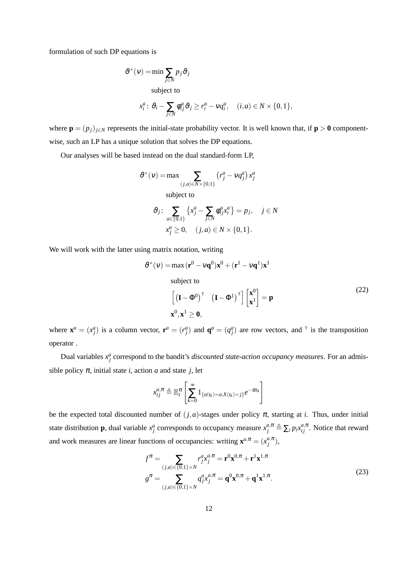formulation of such DP equations is

$$
\vartheta^*(v) = \min \sum_{j \in N} p_j \vartheta_j
$$
  
subject to  

$$
x_i^a: \vartheta_i - \sum_{j \in N} \varphi_{ij}^a \vartheta_j \ge r_i^a - vq_i^a, \quad (i, a) \in N \times \{0, 1\},
$$

where  $\mathbf{p} = (p_j)_{j \in \mathbb{N}}$  represents the initial-state probability vector. It is well known that, if  $\mathbf{p} > 0$  componentwise, such an LP has a unique solution that solves the DP equations.

Our analyses will be based instead on the dual standard-form LP,

$$
\vartheta^*(v) = \max \sum_{(j,a)\in N\times\{0,1\}} (r_j^a - vq_j^a) x_j^a
$$
  
subject to  

$$
\vartheta_j \colon \sum_{a\in\{0,1\}} \left\{ x_j^a - \sum_{j\in N} \phi_{ij}^a x_i^a \right\} = p_j, \quad j \in N
$$

$$
x_j^a \ge 0, \quad (j,a) \in N \times \{0,1\}.
$$

We will work with the latter using matrix notation, writing

$$
\vartheta^*(v) = \max(\mathbf{r}^0 - v\mathbf{q}^0)\mathbf{x}^0 + (\mathbf{r}^1 - v\mathbf{q}^1)\mathbf{x}^1
$$
  
subject to  

$$
\left[ (\mathbf{I} - \Phi^0)^{\top} (\mathbf{I} - \Phi^1)^{\top} \right] \begin{bmatrix} \mathbf{x}^0 \\ \mathbf{x}^1 \end{bmatrix} = \mathbf{p}
$$
 (22)  

$$
\mathbf{x}^0, \mathbf{x}^1 \ge \mathbf{0},
$$

where  $\mathbf{x}^a = (x_j^a)$  is a column vector,  $\mathbf{r}^a = (r_j^a)$  and  $\mathbf{q}^a = (q_j^a)$  are row vectors, and <sup>T</sup> is the transposition operator .

Dual variables  $x_j^a$  correspond to the bandit's *discounted state-action occupancy measures*. For an admissible policy  $\pi$ , initial state *i*, action *a* and state *j*, let

$$
x_{ij}^{a,\pi} \triangleq \mathbb{E}_i^{\pi} \left[ \sum_{k=0}^{\infty} 1_{\{a(t_k)=a,X(t_k)=j\}} e^{-\alpha t_k} \right]
$$

be the expected total discounted number of  $(j, a)$ -stages under policy  $\pi$ , starting at *i*. Thus, under initial state distribution **p**, dual variable  $x_j^a$  corresponds to occupancy measure  $x_j^{a,\pi} \triangleq \sum_i p_i x_{ij}^{a,\pi}$ . Notice that reward and work measures are linear functions of occupancies: writing  $\mathbf{x}^{a,\pi} = (x_i^{a,\pi})$  $_{j}^{a,\pi}),$ 

$$
f^{\pi} = \sum_{(j,a)\in\{0,1\}\times N} r_j^a x_j^{a,\pi} = \mathbf{r}^0 \mathbf{x}^{0,\pi} + \mathbf{r}^1 \mathbf{x}^{1,\pi}
$$
  

$$
g^{\pi} = \sum_{(j,a)\in\{0,1\}\times N} q_j^a x_j^{a,\pi} = \mathbf{q}^0 \mathbf{x}^{0,\pi} + \mathbf{q}^1 \mathbf{x}^{1,\pi}.
$$
 (23)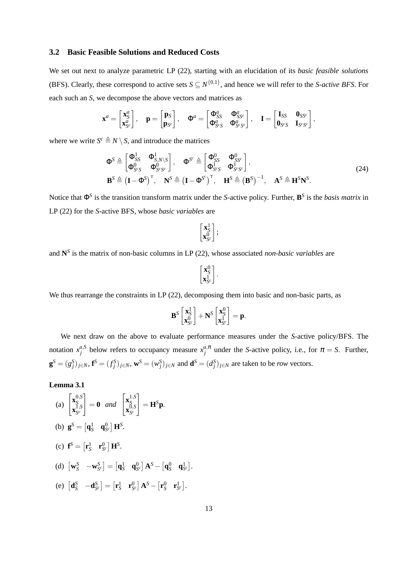#### **3.2 Basic Feasible Solutions and Reduced Costs**

We set out next to analyze parametric LP (22), starting with an elucidation of its *basic feasible solutions* (BFS). Clearly, these correspond to active sets  $S \subseteq N^{\{0,1\}}$ , and hence we will refer to the *S-active BFS*. For each such an *S*, we decompose the above vectors and matrices as

$$
\mathbf{x}^a = \begin{bmatrix} \mathbf{x}_S^a \\ \mathbf{x}_{S^c}^a \end{bmatrix}, \quad \mathbf{p} = \begin{bmatrix} \mathbf{p}_S \\ \mathbf{p}_{S^c} \end{bmatrix}, \quad \Phi^a = \begin{bmatrix} \Phi_{SS}^a & \Phi_{SS^c}^a \\ \Phi_{S^cS}^a & \Phi_{S^cS^c}^a \end{bmatrix}, \quad \mathbf{I} = \begin{bmatrix} \mathbf{I}_{SS} & \mathbf{0}_{SS^c} \\ \mathbf{0}_{S^cS} & \mathbf{I}_{S^cS^c} \end{bmatrix},
$$

where we write  $S^c \triangleq N \setminus S$ , and introduce the matrices

$$
\Phi^{S} \triangleq \begin{bmatrix} \Phi_{SS}^{1} & \Phi_{S,N\setminus S}^{1} \\ \Phi_{S^{c}S}^{0} & \Phi_{S^{c}S^{c}}^{0} \end{bmatrix}, \quad \Phi^{S^{c}} \triangleq \begin{bmatrix} \Phi_{SS}^{0} & \Phi_{S^{c}}^{0} \\ \Phi_{S^{c}S}^{1} & \Phi_{S^{c}S^{c}}^{1} \end{bmatrix},
$$
\n
$$
\mathbf{B}^{S} \triangleq (\mathbf{I} - \Phi^{S})^{\top}, \quad \mathbf{N}^{S} \triangleq (\mathbf{I} - \Phi^{S^{c}})^{\top}, \quad \mathbf{H}^{S} \triangleq (\mathbf{B}^{S})^{-1}, \quad \mathbf{A}^{S} \triangleq \mathbf{H}^{S}\mathbf{N}^{S}.
$$
\n(24)

Notice that Φ *S* is the transition transform matrix under the *S*-active policy. Further, **B** *S* is the *basis matrix* in LP (22) for the *S*-active BFS, whose *basic variables* are

$$
\begin{bmatrix} \mathbf{x}_S^1 \\ \mathbf{x}_{S^c}^0 \end{bmatrix};
$$

and **N** *S* is the matrix of non-basic columns in LP (22), whose associated *non-basic variables* are

$$
\begin{bmatrix} \mathbf{x}_S^0 \\ \mathbf{x}_{S^c}^1 \end{bmatrix}.
$$

We thus rearrange the constraints in LP (22), decomposing them into basic and non-basic parts, as

$$
\mathbf{B}^{S} \begin{bmatrix} \mathbf{x}_S^1 \\ \mathbf{x}_{S^c}^0 \end{bmatrix} + \mathbf{N}^{S} \begin{bmatrix} \mathbf{x}_S^0 \\ \mathbf{x}_{S^c}^1 \end{bmatrix} = \mathbf{p}.
$$

We next draw on the above to evaluate performance measures under the *S*-active policy/BFS. The notation  $x_i^{a, S}$  $\alpha_j^{a,S}$  below refers to occupancy measure  $x_j^{a,\pi}$ *i*<sup> $\pi$ </sup>,<sup> $\pi$ </sup> under the *S*-active policy, i.e., for  $\pi = S$ . Further,  $\mathbf{g}^S = (g_j^S)_{j \in N}$ ,  $\mathbf{f}^S = (f_j^S)_{j \in N}$ ,  $\mathbf{w}^S = (w_j^S)_{j \in N}$  and  $\mathbf{d}^S = (d_j^S)_{j \in N}$  are taken to be *row* vectors.

**Lemma 3.1**

(a) 
$$
\begin{bmatrix} \mathbf{x}_S^{0,S} \\ \mathbf{x}_{S^c}^{1,S} \end{bmatrix} = \mathbf{0} \text{ and } \begin{bmatrix} \mathbf{x}_S^{1,S} \\ \mathbf{x}_{S^c}^{0,S} \end{bmatrix} = \mathbf{H}^S \mathbf{p}.
$$
  
\n(b) 
$$
\mathbf{g}^S = \begin{bmatrix} \mathbf{q}_S^1 & \mathbf{q}_{S^c}^0 \end{bmatrix} \mathbf{H}^S.
$$
  
\n(c) 
$$
\mathbf{f}^S = \begin{bmatrix} \mathbf{r}_S^1 & \mathbf{r}_{S^c}^0 \end{bmatrix} \mathbf{H}^S.
$$
  
\n(d) 
$$
\begin{bmatrix} \mathbf{w}_S^S & -\mathbf{w}_{S^c}^S \end{bmatrix} = \begin{bmatrix} \mathbf{q}_S^1 & \mathbf{q}_{S^c}^0 \end{bmatrix} \mathbf{A}^S - \begin{bmatrix} \mathbf{q}_S^0 & \mathbf{q}_{S^c}^1 \end{bmatrix}.
$$
  
\n(e) 
$$
\begin{bmatrix} \mathbf{d}_S^S & -\mathbf{d}_{S^c}^S \end{bmatrix} = \begin{bmatrix} \mathbf{r}_S^1 & \mathbf{r}_{S^c}^0 \end{bmatrix} \mathbf{A}^S - \begin{bmatrix} \mathbf{r}_S^0 & \mathbf{r}_{S^c}^1 \end{bmatrix}.
$$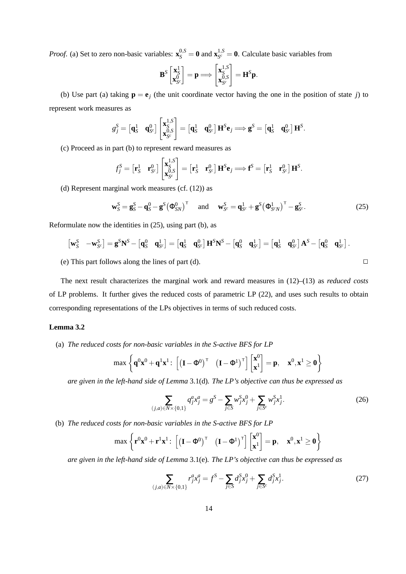*Proof.* (a) Set to zero non-basic variables:  $\mathbf{x}_{S}^{0, S} = \mathbf{0}$  and  $\mathbf{x}_{S}^{1, S}$  $S_c^{(1,0)} = 0$ . Calculate basic variables from

$$
\mathbf{B}^{S}\begin{bmatrix} \mathbf{x}_S^1\\ \mathbf{x}_{S^c}^0 \end{bmatrix} = \mathbf{p} \Longrightarrow \begin{bmatrix} \mathbf{x}_S^{1,S}\\ \mathbf{x}_{S^c}^{0,S} \end{bmatrix} = \mathbf{H}^{S}\mathbf{p}.
$$

(b) Use part (a) taking  $\mathbf{p} = \mathbf{e}_j$  (the unit coordinate vector having the one in the position of state *j*) to represent work measures as

$$
g_j^S = \begin{bmatrix} \mathbf{q}_S^1 & \mathbf{q}_{S^c}^0 \end{bmatrix} \begin{bmatrix} \mathbf{x}_S^{1,S} \\ \mathbf{x}_{S^c}^{0,S} \end{bmatrix} = \begin{bmatrix} \mathbf{q}_S^1 & \mathbf{q}_{S^c}^0 \end{bmatrix} \mathbf{H}^S \mathbf{e}_j \Longrightarrow \mathbf{g}^S = \begin{bmatrix} \mathbf{q}_S^1 & \mathbf{q}_{S^c}^0 \end{bmatrix} \mathbf{H}^S.
$$

(c) Proceed as in part (b) to represent reward measures as

$$
f_j^S = \begin{bmatrix} \mathbf{r}_S^1 & \mathbf{r}_{S^c}^0 \end{bmatrix} \begin{bmatrix} \mathbf{x}_{S}^{1,S} \\ \mathbf{x}_{S^c}^{0,S} \end{bmatrix} = \begin{bmatrix} \mathbf{r}_S^1 & \mathbf{r}_{S^c}^0 \end{bmatrix} \mathbf{H}^S \mathbf{e}_j \Longrightarrow \mathbf{f}^S = \begin{bmatrix} \mathbf{r}_S^1 & \mathbf{r}_{S^c}^0 \end{bmatrix} \mathbf{H}^S.
$$

(d) Represent marginal work measures (cf. (12)) as

$$
\mathbf{w}_S^S = \mathbf{g}_S^S - \mathbf{q}_S^O - \mathbf{g}^S (\Phi_{SN}^O)^\mathsf{T} \quad \text{and} \quad \mathbf{w}_{S^c}^S = \mathbf{q}_{S^c}^1 + \mathbf{g}^S (\Phi_{S^c N}^1)^\mathsf{T} - \mathbf{g}_{S^c}^S. \tag{25}
$$

Reformulate now the identities in (25), using part (b), as

$$
\begin{bmatrix} \mathbf{w}_S^S & -\mathbf{w}_{S^c}^S \end{bmatrix} = \mathbf{g}^S \mathbf{N}^S - \begin{bmatrix} \mathbf{q}_S^0 & \mathbf{q}_{S^c}^1 \end{bmatrix} = \begin{bmatrix} \mathbf{q}_S^1 & \mathbf{q}_{S^c}^0 \end{bmatrix} \mathbf{H}^S \mathbf{N}^S - \begin{bmatrix} \mathbf{q}_S^0 & \mathbf{q}_{S^c}^1 \end{bmatrix} = \begin{bmatrix} \mathbf{q}_S^1 & \mathbf{q}_{S^c}^0 \end{bmatrix} \mathbf{A}^S - \begin{bmatrix} \mathbf{q}_S^0 & \mathbf{q}_{S^c}^1 \end{bmatrix}.
$$

(e) This part follows along the lines of part (d).  $\Box$ 

The next result characterizes the marginal work and reward measures in (12)–(13) as *reduced costs* of LP problems. It further gives the reduced costs of parametric LP (22), and uses such results to obtain corresponding representations of the LPs objectives in terms of such reduced costs.

#### **Lemma 3.2**

(a) *The reduced costs for non-basic variables in the S-active BFS for LP*

$$
\max\left\{q^0x^0+q^1x^1\colon\left[\left(I-\Phi^0\right)^\intercal\ \left(I-\Phi^1\right)^\intercal\right]\begin{bmatrix}x^0\\x^1\end{bmatrix}=\pmb{p},\quad x^0,x^1\geq 0\right\}
$$

*are given in the left-hand side of Lemma* 3.1(d)*. The LP's objective can thus be expressed as*

$$
\sum_{(j,a)\in N\times\{0,1\}} q_j^a x_j^a = g^S - \sum_{j\in S} w_j^S x_j^0 + \sum_{j\in S^c} w_j^S x_j^1.
$$
 (26)

(b) *The reduced costs for non-basic variables in the S-active BFS for LP*

$$
\max\left\{{\mathbf r}^0{\mathbf x}^0+{\mathbf r}^1{\mathbf x}^1\colon\left[\left({\mathbf I}-{\boldsymbol\Phi}^0\right)^\intercal\quad \left({\mathbf I}-{\boldsymbol\Phi}^1\right)^\intercal\right]\left[{\mathbf x}^0\right]={\mathbf p},\quad {\mathbf x}^0,{\mathbf x}^1\geq{\mathbf 0}\right\}
$$

*are given in the left-hand side of Lemma* 3.1(e)*. The LP's objective can thus be expressed as*

$$
\sum_{(j,a)\in N\times\{0,1\}} r_j^a x_j^a = f^S - \sum_{j\in S} d_j^S x_j^0 + \sum_{j\in S^c} d_j^S x_j^1. \tag{27}
$$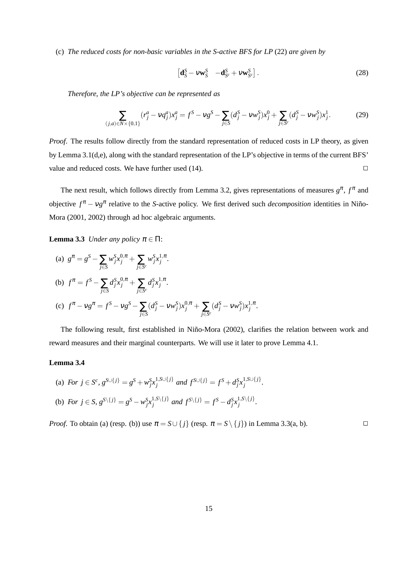(c) *The reduced costs for non-basic variables in the S-active BFS for LP* (22) *are given by*

$$
\left[\mathbf{d}_{S}^{S} - V\mathbf{w}_{S}^{S} \quad -\mathbf{d}_{S^{c}}^{S} + V\mathbf{w}_{S^{c}}^{S}\right].
$$
\n(28)

*Therefore, the LP's objective can be represented as*

$$
\sum_{(j,a)\in N\times\{0,1\}} (r_j^a - \nu q_j^a) x_j^a = f^S - \nu g^S - \sum_{j\in S} (d_j^S - \nu w_j^S) x_j^0 + \sum_{j\in S^c} (d_j^S - \nu w_j^S) x_j^1. \tag{29}
$$

*Proof.* The results follow directly from the standard representation of reduced costs in LP theory, as given by Lemma 3.1(d,e), along with the standard representation of the LP's objective in terms of the current BFS' value and reduced costs. We have further used  $(14)$ .

The next result, which follows directly from Lemma 3.2, gives representations of measures  $g^{\pi}$ ,  $f^{\pi}$  and objective  $f^π - v_g^π$  relative to the *S*-active policy. We first derived such *decomposition* identities in Niño-Mora (2001, 2002) through ad hoc algebraic arguments.

**Lemma 3.3** *Under any policy*  $\pi \in \Pi$ :

(a) 
$$
g^{\pi} = g^S - \sum_{j \in S} w_j^S x_j^{0, \pi} + \sum_{j \in S^c} w_j^S x_j^{1, \pi}
$$
.  
\n(b)  $f^{\pi} = f^S - \sum_{j \in S} d_j^S x_j^{0, \pi} + \sum_{j \in S^c} d_j^S x_j^{1, \pi}$ .  
\n(c)  $f^{\pi} - v g^{\pi} = f^S - v g^S - \sum_{j \in S} (d_j^S - v w_j^S) x_j^{0, \pi} + \sum_{j \in S^c} (d_j^S - v w_j^S) x_j^{1, \pi}$ .

The following result, first established in Niño-Mora (2002), clarifies the relation between work and reward measures and their marginal counterparts. We will use it later to prove Lemma 4.1.

#### **Lemma 3.4**

(a) For 
$$
j \in S^c
$$
,  $g^{S \cup \{j\}} = g^S + w_j^S x_j^{1, S \cup \{j\}}$  and  $f^{S \cup \{j\}} = f^S + d_j^S x_j^{1, S \cup \{j\}}$ .  
\n(b) For  $j \in S$ ,  $g^{S \setminus \{j\}} = g^S - w_j^S x_j^{1, S \setminus \{j\}}$  and  $f^{S \setminus \{j\}} = f^S - d_j^S x_j^{1, S \setminus \{j\}}$ .

*Proof.* To obtain (a) (resp. (b)) use  $\pi = S \cup \{j\}$  (resp.  $\pi = S \setminus \{j\}$ ) in Lemma 3.3(a, b).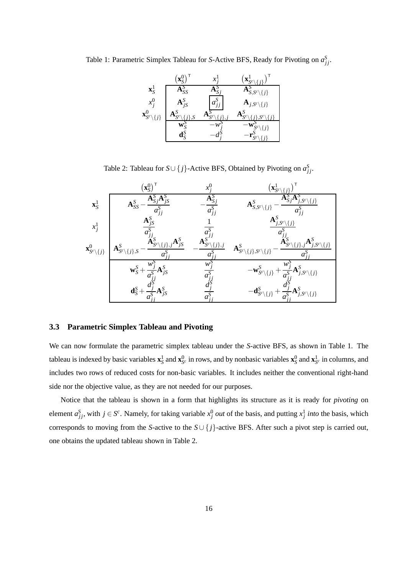Table 1: Parametric Simplex Tableau for *S*-Active BFS, Ready for Pivoting on  $a_{jj}^S$ .

| $\mathbf{x}_{S}^1$                                               | 72                                                  |                   | $\mathbf{A}_{S,S^c\setminus\{j\}}^{\thicksim}$ |
|------------------------------------------------------------------|-----------------------------------------------------|-------------------|------------------------------------------------|
| $x_i^0$                                                          | $A_{jS}^{\delta}$                                   | $a_{ij}^{\prime}$ | $\mathbf{A}_{j, S^c\setminus\{j\}}$            |
| $\mathbf{X}^{\text{U}}_{\mathcal{S}^C\setminus\left\{j\right\}}$ | $\mathbf{A}^{\omega}_{\mathbf{S}^c}$<br>$\mathbf C$ |                   |                                                |
|                                                                  | $\mathbf{W}_{\mathrm{c}}^{\mathrm{O}}$              |                   | $\left\{ i\right\}$                            |
|                                                                  | $\mathbf{d}_{\mathrm{S}}^{\mathrm{S}}$              |                   |                                                |

Table 2: Tableau for  $S \cup \{j\}$ -Active BFS, Obtained by Pivoting on  $a_{jj}^S$ .

|                                                | $\mathbf{x}_{S}^{0}$                                                                                                                                    |                                                            | $\big( \mathbf{x}^\text{I}_{S^c}$                                                                                   |
|------------------------------------------------|---------------------------------------------------------------------------------------------------------------------------------------------------------|------------------------------------------------------------|---------------------------------------------------------------------------------------------------------------------|
| $\mathbf{x}_S^1$                               | $A_{SS}^S$                                                                                                                                              | $a_{jj}^{\rm o}$                                           | ${\bf A}^{\rm S}_{\rm C}$<br>$\{j\}$<br>$j, S^c$<br>$\mathbf{A}_{S,S^c\setminus\{j\}}^S$                            |
| $x_i^1$                                        | $\mathbf{A}_{jS}^S$<br>$a_1^{\rm S}$                                                                                                                    |                                                            | $\mathbf{A}^S_{j,S^c\setminus\{j\}}$                                                                                |
| $\mathbf{x}_{\mathcal{S}^c\setminus\{j\}}^{0}$ | $\mathbf{A}_{jS}^S$<br>$\mathbf{A}_{\mathcal{S}_{\mathcal{C}\setminus \{j\},j}^{\mathcal{S}}.}^{\mathcal{S}}$<br>$A^S_{S^c\setminus\{j\},S}$ .<br>$a^S$ | $\mathbf{A}^{S^{\text{-}}}_{S^c\setminus\{j\},j}$<br>$a^3$ | $\breve{j},S^c\backslash\{j\}$<br>$\mathbf{A}_{\mathcal{S}^c\setminus \{j\},\mathcal{S}^{c\setminus}}^S$            |
|                                                | $W^{\cdot}$<br>$\mathbf{w}_S^S$                                                                                                                         | $W$ :                                                      | $W^{\mathcal{S}}$<br>$-\frac{W_j}{a_{i}^S}A_{j,S^c\setminus\{j\}}^S$<br>$-\mathbf{w}^S_{S^c\setminus\{j\}} + \cdot$ |
|                                                | $\Lambda^{\overline{S}}$<br>$\mathbf{d}_{S}^{S} +$<br>$\mathbf{F}_{jS}$<br>$a_i^S$                                                                      | $a_i^{\mathcal{S}}$                                        | $+\frac{a_j}{a_{ji}^S}\mathbf{A}_{j,S^c\setminus\{j\}}^S$<br>$-\mathbf{d}_{S^c\setminus\{j\}}^S$ .                  |

#### **3.3 Parametric Simplex Tableau and Pivoting**

We can now formulate the parametric simplex tableau under the *S*-active BFS, as shown in Table 1. The tableau is indexed by basic variables  $x_S^1$  and  $x_{S^c}^0$  in rows, and by nonbasic variables  $x_S^0$  and  $x_{S^c}^1$  in columns, and includes two rows of reduced costs for non-basic variables. It includes neither the conventional right-hand side nor the objective value, as they are not needed for our purposes.

Notice that the tableau is shown in a form that highlights its structure as it is ready for *pivoting* on element  $a_{jj}^S$ , with  $j \in S^c$ . Namely, for taking variable  $x_j^0$  *out* of the basis, and putting  $x_j^1$  *into* the basis, which corresponds to moving from the *S*-active to the  $S \cup \{j\}$ -active BFS. After such a pivot step is carried out, one obtains the updated tableau shown in Table 2.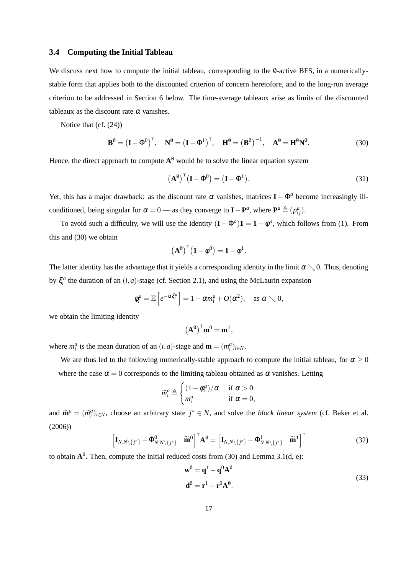#### **3.4 Computing the Initial Tableau**

We discuss next how to compute the initial tableau, corresponding to the  $\theta$ -active BFS, in a numericallystable form that applies both to the discounted criterion of concern heretofore, and to the long-run average criterion to be addressed in Section 6 below. The time-average tableaux arise as limits of the discounted tableaux as the discount rate  $\alpha$  vanishes.

Notice that (cf. (24))

$$
\mathbf{B}^{\emptyset} = \left(\mathbf{I} - \boldsymbol{\Phi}^{0}\right)^{\top}, \quad \mathbf{N}^{\emptyset} = \left(\mathbf{I} - \boldsymbol{\Phi}^{1}\right)^{\top}, \quad \mathbf{H}^{\emptyset} = \left(\mathbf{B}^{\emptyset}\right)^{-1}, \quad \mathbf{A}^{\emptyset} = \mathbf{H}^{\emptyset}\mathbf{N}^{\emptyset}.
$$
 (30)

Hence, the direct approach to compute  $A^0$  would be to solve the linear equation system

$$
\left(\mathbf{A}^0\right)^{\top} \left(\mathbf{I} - \mathbf{\Phi}^0\right) = \left(\mathbf{I} - \mathbf{\Phi}^1\right). \tag{31}
$$

Yet, this has a major drawback: as the discount rate  $\alpha$  vanishes, matrices  $I - \Phi^a$  become increasingly illconditioned, being singular for  $\alpha = 0$  — as they converge to **I** − **P**<sup>*a*</sup>, where  $\mathbf{P}^a \triangleq (p^a_{ij})$ .

To avoid such a difficulty, we will use the identity  $(I - \Phi^a) \mathbf{1} = \mathbf{1} - \phi^a$ , which follows from (1). From this and (30) we obtain

$$
\big(\mathbf{A}^{\emptyset}\big)^{\mathsf{T}}\big(\mathbf{1}-\phi^0\big)=\mathbf{1}-\phi^1.
$$

The latter identity has the advantage that it yields a corresponding identity in the limit  $\alpha \searrow 0$ . Thus, denoting by  $\xi_i^a$  the duration of an  $(i, a)$ -stage (cf. Section 2.1), and using the McLaurin expansion

$$
\phi_i^a = \mathbb{E}\left[e^{-\alpha \xi_i^a}\right] = 1 - \alpha m_i^a + O(\alpha^2), \text{ as } \alpha \searrow 0,
$$

we obtain the limiting identity

$$
\left(\mathbf{A}^0\right)^{\mathsf{T}}\mathbf{m}^0=\mathbf{m}^1,
$$

where  $m_i^a$  is the mean duration of an  $(i, a)$ -stage and  $\mathbf{m} = (m_i^a)_{i \in \mathbb{N}}$ .

We are thus led to the following numerically-stable approach to compute the initial tableau, for  $\alpha \geq 0$ — where the case  $\alpha = 0$  corresponds to the limiting tableau obtained as  $\alpha$  vanishes. Letting

$$
\widetilde{m}_i^a \triangleq \begin{cases} (1 - \phi_i^a)/\alpha & \text{if } \alpha > 0\\ m_i^a & \text{if } \alpha = 0, \end{cases}
$$

and  $\tilde{\mathbf{m}}^a = (\tilde{m}^a_i)_{i \in \mathbb{N}}$ , choose an arbitrary state  $j^* \in \mathbb{N}$ , and solve the *block linear system* (cf. Baker et al. (2006))

$$
\begin{bmatrix} \mathbf{I}_{N,N\setminus\{j^*\}} - \mathbf{\Phi}_{N,N\setminus\{j^*\}}^0 & \widetilde{\mathbf{m}}^0 \end{bmatrix}^\mathsf{T} \mathbf{A}^0 = \begin{bmatrix} \mathbf{I}_{N,N\setminus\{j^*\}} - \mathbf{\Phi}_{N,N\setminus\{j^*\}}^1 & \widetilde{\mathbf{m}}^1 \end{bmatrix}^\mathsf{T}
$$
(32)

to obtain  $A^0$ . Then, compute the initial reduced costs from (30) and Lemma 3.1(d, e):

$$
\mathbf{w}^0 = \mathbf{q}^1 - \mathbf{q}^0 \mathbf{A}^0
$$
  

$$
\mathbf{d}^0 = \mathbf{r}^1 - \mathbf{r}^0 \mathbf{A}^0.
$$
 (33)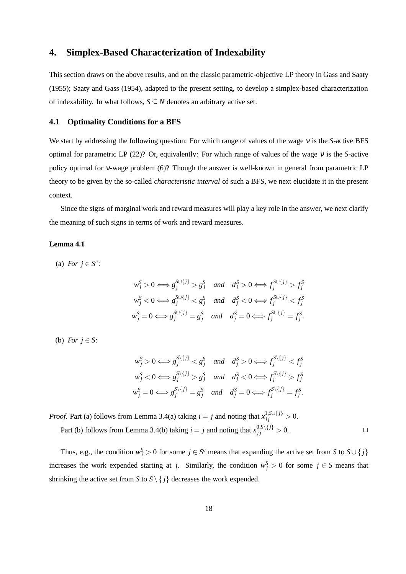### **4. Simplex-Based Characterization of Indexability**

This section draws on the above results, and on the classic parametric-objective LP theory in Gass and Saaty (1955); Saaty and Gass (1954), adapted to the present setting, to develop a simplex-based characterization of indexability. In what follows,  $S \subseteq N$  denotes an arbitrary active set.

#### **4.1 Optimality Conditions for a BFS**

We start by addressing the following question: For which range of values of the wage <sup>ν</sup> is the *S*-active BFS optimal for parametric LP (22)? Or, equivalently: For which range of values of the wage <sup>ν</sup> is the *S*-active policy optimal for <sup>ν</sup>-wage problem (6)? Though the answer is well-known in general from parametric LP theory to be given by the so-called *characteristic interval* of such a BFS, we next elucidate it in the present context.

Since the signs of marginal work and reward measures will play a key role in the answer, we next clarify the meaning of such signs in terms of work and reward measures.

#### **Lemma 4.1**

(a) *For*  $j \in S^c$ :

$$
w_j^S > 0 \Longleftrightarrow g_j^{S \cup \{j\}} > g_j^S \quad and \quad d_j^S > 0 \Longleftrightarrow f_j^{S \cup \{j\}} > f_j^S
$$
  

$$
w_j^S < 0 \Longleftrightarrow g_j^{S \cup \{j\}} < g_j^S \quad and \quad d_j^S < 0 \Longleftrightarrow f_j^{S \cup \{j\}} < f_j^S
$$
  

$$
w_j^S = 0 \Longleftrightarrow g_j^{S \cup \{j\}} = g_j^S \quad and \quad d_j^S = 0 \Longleftrightarrow f_j^{S \cup \{j\}} = f_j^S.
$$

(b) *For*  $i \in S$ :

$$
w_j^S > 0 \Longleftrightarrow g_j^{S \setminus \{j\}} < g_j^S \quad \text{and} \quad d_j^S > 0 \Longleftrightarrow f_j^{S \setminus \{j\}} < f_j^S
$$
  

$$
w_j^S < 0 \Longleftrightarrow g_j^{S \setminus \{j\}} > g_j^S \quad \text{and} \quad d_j^S < 0 \Longleftrightarrow f_j^{S \setminus \{j\}} > f_j^S
$$
  

$$
w_j^S = 0 \Longleftrightarrow g_j^{S \setminus \{j\}} = g_j^S \quad \text{and} \quad d_j^S = 0 \Longleftrightarrow f_j^{S \setminus \{j\}} = f_j^S.
$$

*Proof.* Part (a) follows from Lemma 3.4(a) taking  $i = j$  and noting that  $x_{jj}^{1, \text{SU(}j\text{)}} > 0$ . Part (b) follows from Lemma 3.4(b) taking  $i = j$  and noting that  $x_{jj}^{0, S \setminus \{j\}} > 0$ .

Thus, e.g., the condition  $w_j^S > 0$  for some  $j \in S^c$  means that expanding the active set from *S* to  $S \cup \{j\}$ increases the work expended starting at *j*. Similarly, the condition  $w_j^S > 0$  for some  $j \in S$  means that shrinking the active set from *S* to  $S \setminus \{j\}$  decreases the work expended.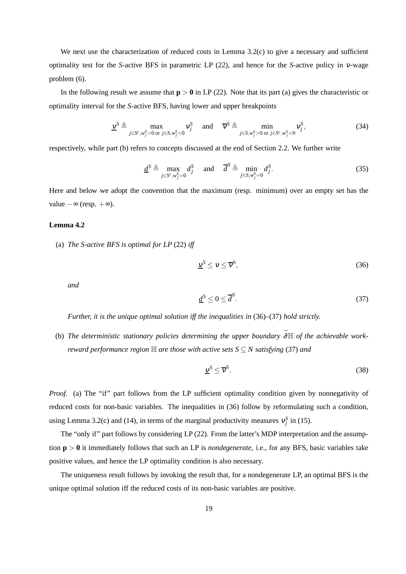We next use the characterization of reduced costs in Lemma 3.2(c) to give a necessary and sufficient optimality test for the *S*-active BFS in parametric LP (22), and hence for the *S*-active policy in <sup>ν</sup>-wage problem (6).

In the following result we assume that  $p > 0$  in LP (22). Note that its part (a) gives the characteristic or optimality interval for the *S*-active BFS, having lower and upper breakpoints

$$
\underline{v}^{S} \triangleq \max_{j \in S^{c}, w_{j}^{S} > 0 \text{ or } j \in S, w_{j}^{S} < 0} v_{j}^{S} \quad \text{and} \quad \overline{v}^{S} \triangleq \min_{j \in S, w_{j}^{S} > 0 \text{ or } j \in S^{c}, w_{j}^{S} < 0} v_{j}^{S}, \tag{34}
$$

respectively, while part (b) refers to concepts discussed at the end of Section 2.2. We further write

$$
\underline{d}^{S} \triangleq \max_{j \in S^{c}, w_{j}^{S} = 0} d_{j}^{S} \quad \text{and} \quad \overline{d}^{S} \triangleq \min_{j \in S, w_{j}^{S} = 0} d_{j}^{S}. \tag{35}
$$

Here and below we adopt the convention that the maximum (resp. minimum) over an empty set has the value  $-\infty$  (resp.  $+\infty$ ).

#### **Lemma 4.2**

(a) *The S-active BFS is optimal for LP* (22) *iff*

$$
\underline{v}^S \le v \le \overline{v}^S,\tag{36}
$$

*and*

$$
\underline{d}^S \le 0 \le \overline{d}^S. \tag{37}
$$

*Further, it is the unique optimal solution iff the inequalities in* (36)*–*(37) *hold strictly.*

(b) *The deterministic stationary policies determining the upper boundary* ¯∂H *of the achievable workreward performance region*  $\mathbb H$  *are those with active sets*  $S \subseteq N$  *satisfying* (37) *and* 

$$
\underline{\mathbf{v}}^S \le \overline{\mathbf{v}}^S. \tag{38}
$$

*Proof.* (a) The "if" part follows from the LP sufficient optimality condition given by nonnegativity of reduced costs for non-basic variables. The inequalities in (36) follow by reformulating such a condition, using Lemma 3.2(c) and (14), in terms of the marginal productivity measures  $v_j^S$  in (15).

The "only if" part follows by considering LP (22). From the latter's MDP interpretation and the assumption **p** > **0** it immediately follows that such an LP is *nondegenerate*, i.e., for any BFS, basic variables take positive values, and hence the LP optimality condition is also necessary.

The uniqueness result follows by invoking the result that, for a nondegenerate LP, an optimal BFS is the unique optimal solution iff the reduced costs of its non-basic variables are positive.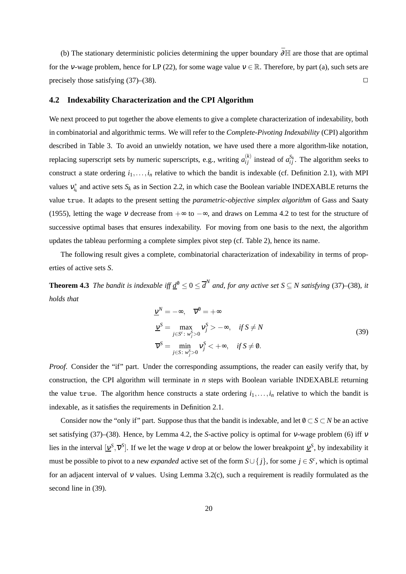(b) The stationary deterministic policies determining the upper boundary  $\bar{\partial} \mathbb{H}$  are those that are optimal for the v-wage problem, hence for LP (22), for some wage value  $v \in \mathbb{R}$ . Therefore, by part (a), such sets are precisely those satisfying  $(37)$ – $(38)$ .

#### **4.2 Indexability Characterization and the CPI Algorithm**

We next proceed to put together the above elements to give a complete characterization of indexability, both in combinatorial and algorithmic terms. We will refer to the *Complete-Pivoting Indexability* (CPI) algorithm described in Table 3. To avoid an unwieldy notation, we have used there a more algorithm-like notation, replacing superscript sets by numeric superscripts, e.g., writing  $a_{ij}^{(k)}$  instead of  $a_{ij}^{S_k}$ . The algorithm seeks to construct a state ordering  $i_1, \ldots, i_n$  relative to which the bandit is indexable (cf. Definition 2.1), with MPI values  $v_{i_k}^*$  and active sets  $S_k$  as in Section 2.2, in which case the Boolean variable INDEXABLE returns the value true. It adapts to the present setting the *parametric-objective simplex algorithm* of Gass and Saaty (1955), letting the wage v decrease from  $+\infty$  to  $-\infty$ , and draws on Lemma 4.2 to test for the structure of successive optimal bases that ensures indexability. For moving from one basis to the next, the algorithm updates the tableau performing a complete simplex pivot step (cf. Table 2), hence its name.

The following result gives a complete, combinatorial characterization of indexability in terms of properties of active sets *S*.

**Theorem 4.3** *The bandit is indexable iff*  $\underline{d}^0 \le 0 \le \overline{d}^N$  *and, for any active set*  $S \subseteq N$  *satisfying* (37)–(38)*, it holds that*

$$
\underline{v}^{N} = -\infty, \quad \overline{v}^{0} = +\infty
$$
\n
$$
\underline{v}^{S} = \max_{j \in S^{c}: w_{j}^{S} > 0} v_{j}^{S} > -\infty, \quad \text{if } S \neq N
$$
\n
$$
\overline{v}^{S} = \min_{j \in S: w_{j}^{S} > 0} v_{j}^{S} < +\infty, \quad \text{if } S \neq 0.
$$
\n(39)

*Proof.* Consider the "if" part. Under the corresponding assumptions, the reader can easily verify that, by construction, the CPI algorithm will terminate in *n* steps with Boolean variable INDEXABLE returning the value true. The algorithm hence constructs a state ordering  $i_1, \ldots, i_n$  relative to which the bandit is indexable, as it satisfies the requirements in Definition 2.1.

Consider now the "only if" part. Suppose thus that the bandit is indexable, and let  $0 \subset S \subset N$  be an active set satisfying (37)–(38). Hence, by Lemma 4.2, the *S*-active policy is optimal for <sup>ν</sup>-wage problem (6) iff <sup>ν</sup> lies in the interval  $[\underline{v}^S, \overline{v}^S]$ . If we let the wage v drop at or below the lower breakpoint  $\underline{v}^S$ , by indexability it must be possible to pivot to a new *expanded* active set of the form  $S \cup \{j\}$ , for some  $j \in S^c$ , which is optimal for an adjacent interval of <sup>ν</sup> values. Using Lemma 3.2(c), such a requirement is readily formulated as the second line in (39).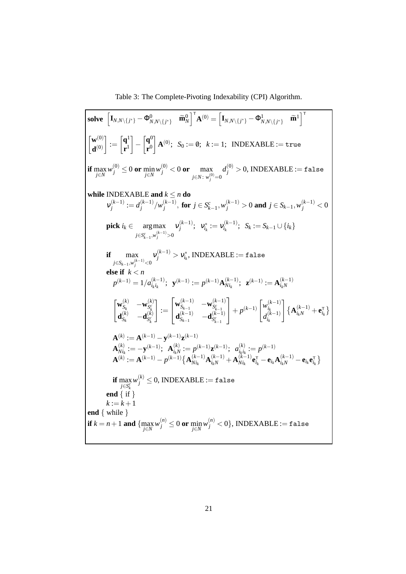Table 3: The Complete-Pivoting Indexability (CPI) Algorithm.

 $\textbf{solve } \left[\textbf{I}_{N,N\setminus \{j^*\}}-\Phi^0_{N,N\setminus \{j^*\}} \quad \widetilde{\textbf{m}}^{0}_N\right]^\mathsf{T} \textbf{A}^{(0)} = \left[\textbf{I}_{N,N\setminus \{j^*\}}-\Phi^1_{N,N\setminus \{j^*\}} \quad \widetilde{\textbf{m}}^{1}\right]^\mathsf{T}$  $\lceil \mathbf{w}^{(0)} \rceil$  $\mathbf{d}^{(0)}$ 1 :=  $\int$ **q**<sup>1</sup> **r** 1 1 −  $\int$ **q**<sup>0</sup> **r** 0 1  $\mathbf{A}^{(0)}$ ;  $S_0 := \emptyset$ ;  $k := 1$ ; INDEXABLE := true **if**  $\max_{j \in N} w_j^{(0)} \le 0$  or  $\min_{j \in N} w_j^{(0)} < 0$  or  $\max_{j \in N : w_j^{(0)} = 0}$  $d_j^{(0)} > 0$ , INDEXABLE := false **while** INDEXABLE and  $k \leq n$  do  $v_i^{(k-1)}$  $j^{(k-1)} := d_j^{(k-1)}$ *j* /*w* (*k*−1) *j*  $j$  **for** *j* ∈ *S*<sub>*k*−1</sub>,  $w_j^{(k-1)} > 0$  and *j* ∈ *S*<sub>*k*−1</sub>,  $w_j^{(k-1)} < 0$ **pick**  $i_k \in \text{arg}\max$ *j*∈*S*<sup>*c*</sup><sub>*k*−1</sub></sub>,*w*<sub>*j*</sub><sup> $(k-1)$ </sup>>0  $v_i^{(k-1)}$  $\bigvee_{j}^{(k-1)}; \;\; \mathcal{V}_{i_k}^*:=\mathcal{V}_{i_k}^{(k-1)}$  $S_k := S_{k-1} \cup \{i_k\}$ **if** max *j*∈*S*<sub>*k*−1</sub>,*w*<sup>(*k*−1)</sup><0  $\mathcal{V}^{(k-1)}_j > \mathcal{V}^*_{i_k}, \text{INDEXABLE} := \texttt{false}$ **else if** *k* < *n*  $p^{(k-1)} = 1/a^{(k-1)}_{i_k i_k}$  $\mathbf{y}^{(k-1)}$ ;  $\mathbf{y}^{(k-1)} := p^{(k-1)} \mathbf{A}_{N i_k}^{(k-1)}$  $\mathbf{X}_{N i_k}^{(k-1)}$ ; **z**<sup>(k-1)</sup> := **A**<sub> $i_kN$ </sub><sup>(k-1)</sup> *ikN*  $\begin{bmatrix} \mathbf{w}^{(k)}_{S_k} \end{bmatrix}$  $\begin{bmatrix} (k) \ S_k \end{bmatrix}$   $-{\mathbf{w}}^{(k)}_{S^c_k}$  $\begin{array}{ccc} {\bf w}_{S_k} & -{\bf w}_{S_k^c} \ {\bf d}_{S_k}^{(k)} & -{\bf d}_{S_k^c}^{(k)} \end{array}$  $\begin{bmatrix} (k) \ S_k \end{bmatrix}$   $-{\bf d}_{S_k^c}^{(k)}$ *S c k* 1 :=  $\sqrt{ }$  $\overline{1}$  ${\bf w}_{S_{k-1}}^{(k-1)}$  $\begin{array}{cc} (k-1) & -\mathbf{w}_{S_{k-1}^c}^{(k-1)} \end{array}$ *S c k*−1  $\mathbf{d}_{S_{k-1}}^{(k-1)}$  $\mathbf{G}_{k-1}^{(k-1)}$  −**d** $\mathbf{G}_{S_{k-1}^{c}}^{(k-1)}$ *S c k*−1 1  $+ p^{(k-1)} \begin{bmatrix} w_{i_k}^{(k-1)} \\ d^{(k-1)} \end{bmatrix}$ *ik*  $d_{i_k}^{(k-1)}$ *ik* 1  $\{ \mathbf{A}_{i_kN}^{(k-1)} + \mathbf{e}_{i_k}^{\mathsf{T}} \}$  ${\bf A}^{(k)} := {\bf A}^{(k-1)} - {\bf y}^{(k-1)} {\bf z}^{(k-1)}$  $\mathbf{A}^{(k)}_{Ni}$  $\mathbf{A}^{(k)}_{N i_k}:=-\mathbf{y}^{(k-1)}; \ \ \mathbf{A}^{(k)}_{i_k N}$  $a_{i_kN}^{(k)} := p^{(k-1)}\mathbf{z}^{(k-1)}; \ \ a_{i_ki_k}^{(k)}$  $i_k i_k := p^{(k-1)}$  $\mathbf{A}^{(k)} := \mathbf{A}^{(k-1)} - p^{(k-1)} \{ \mathbf{A}_{Nik}^{(k-1)} \}$  $\mathbf{A}^{(k-1)}_{i_k} \mathbf{A}^{(k-1)}_{i_k N} + \mathbf{A}^{(k-1)}_{N i_k}$  $\mathbf{e}_{ik}^{(k-1)}$ **e**<sub>*i*k</sub>  $\mathbf{e}_{i_k}^{\mathsf{T}}$  − **e**<sub>*i*k</sub> $\mathbf{h}_{i_kN}^{(k-1)}$  − **e**<sub>*i*k</sub>  $\mathbf{e}_{i_k}^{\mathsf{T}}$  } **if** max *j*∈*S*<sup>*c*</sup></sub>  $w_j^{(k)} \leq 0$ , INDEXABLE := false **end** { if }  $k := k + 1$ **end** { while }  $\textbf{if } k=n+1 \textbf{ and } \{ \max_{j\in N} w_j^{(n)}\leq 0 \textbf{ or } \min_{j\in N} w_j^{(n)}< 0 \}, \textbf{INDEXABLE}:= \texttt{false}$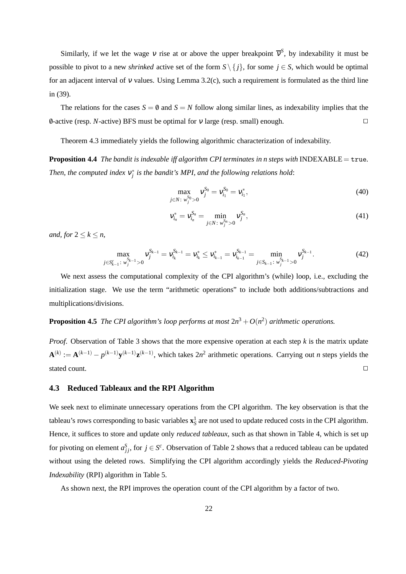Similarly, if we let the wage v rise at or above the upper breakpoint  $\bar{v}^S$ , by indexability it must be possible to pivot to a new *shrinked* active set of the form  $S \setminus \{j\}$ , for some  $j \in S$ , which would be optimal for an adjacent interval of v values. Using Lemma 3.2(c), such a requirement is formulated as the third line in (39).

The relations for the cases  $S = \emptyset$  and  $S = N$  follow along similar lines, as indexability implies that the /0-active (resp. *N*-active) BFS must be optimal for <sup>ν</sup> large (resp. small) enough.

Theorem 4.3 immediately yields the following algorithmic characterization of indexability.

**Proposition 4.4** *The bandit is indexable iff algorithm CPI terminates in n steps with* INDEXABLE = true*.* Then, the computed index  $v_j^*$  is the bandit's MPI, and the following relations hold:

$$
\max_{j \in N: w_j^{S_0} > 0} v_j^{S_0} = v_{i_1}^{S_0} = v_{i_1}^*,
$$
\n(40)

$$
v_{i_n}^* = v_{i_n}^{S_n} = \min_{j \in N: \ w_j^{S_n} > 0} v_j^{S_n}, \tag{41}
$$

*and, for*  $2 \leq k \leq n$ ,

$$
\max_{j \in S_{k-1}^c \colon w_j^{S_{k-1}} > 0} v_j^{S_{k-1}} = v_{i_k}^s \le v_{i_{k-1}}^* = v_{i_{k-1}}^{S_{k-1}} = \min_{j \in S_{k-1} \colon w_j^{S_{k-1}} > 0} v_j^{S_{k-1}}.
$$
\n(42)

We next assess the computational complexity of the CPI algorithm's (while) loop, i.e., excluding the initialization stage. We use the term "arithmetic operations" to include both additions/subtractions and multiplications/divisions.

### **Proposition 4.5** *The CPI algorithm's loop performs at most*  $2n^3 + O(n^2)$  *arithmetic operations.*

*Proof*. Observation of Table 3 shows that the more expensive operation at each step *k* is the matrix update  $\mathbf{A}^{(k)} := \mathbf{A}^{(k-1)} - p^{(k-1)} \mathbf{y}^{(k-1)} \mathbf{z}^{(k-1)}$ , which takes  $2n^2$  arithmetic operations. Carrying out *n* steps yields the stated count.  $\Box$ 

#### **4.3 Reduced Tableaux and the RPI Algorithm**

We seek next to eliminate unnecessary operations from the CPI algorithm. The key observation is that the tableau's rows corresponding to basic variables  $\mathbf{x}_S^1$  are not used to update reduced costs in the CPI algorithm. Hence, it suffices to store and update only *reduced tableaux*, such as that shown in Table 4, which is set up for pivoting on element  $a_{jj}^S$ , for  $j \in S^c$ . Observation of Table 2 shows that a reduced tableau can be updated without using the deleted rows. Simplifying the CPI algorithm accordingly yields the *Reduced-Pivoting Indexability* (RPI) algorithm in Table 5.

As shown next, the RPI improves the operation count of the CPI algorithm by a factor of two.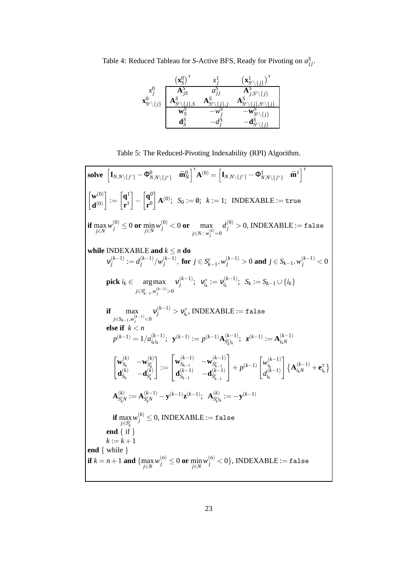Table 4: Reduced Tableau for *S*-Active BFS, Ready for Pivoting on  $a_{jj}^S$ .

|                                                              | $\mathbf{X}_{\mathbf{C}}^{\mathbf{C}}$ | sz.                                  |
|--------------------------------------------------------------|----------------------------------------|--------------------------------------|
| $\mathcal{X}^{\setminus}$<br>$\mathbf{x}_{S^c}^c$<br>$\{j\}$ | iS<br>$A_{S^c}$<br>C                   | Н,<br>$j, S^c \setminus \{j\}$<br>ź٦ |
|                                                              |                                        | j                                    |

Table 5: The Reduced-Pivoting Indexability (RPI) Algorithm.

| solve $\begin{bmatrix} \mathbf{I}_{N,N\setminus\{j^*\}}-\mathbf{\Phi}^0_{N,N\setminus\{j^*\}} & \widetilde{\mathbf{m}}^0_N \end{bmatrix}^\top \mathbf{A}^{(0)} = \begin{bmatrix} \mathbf{I}_{N,N\setminus\{j^*\}}-\mathbf{\Phi}^1_{N,N\setminus\{j^*\}} & \widetilde{\mathbf{m}}^1 \end{bmatrix}^\top$                                                                                                |
|-------------------------------------------------------------------------------------------------------------------------------------------------------------------------------------------------------------------------------------------------------------------------------------------------------------------------------------------------------------------------------------------------------|
| $\begin{bmatrix} \mathbf{w}^{(0)} \\ \mathbf{d}^{(0)} \end{bmatrix} := \begin{bmatrix} \mathbf{q}^1 \\ \mathbf{r}^1 \end{bmatrix} - \begin{bmatrix} \mathbf{q}^0 \\ \mathbf{r}^0 \end{bmatrix} \mathbf{A}^{(0)}; \ S_0 := \emptyset; \ k := 1; \ \ \text{INDEXABLE} := \text{true}$                                                                                                                   |
| <b>if</b> $\max_{j \in N} w_j^{(0)} \le 0$ or $\min_{j \in N} w_j^{(0)} < 0$ or $\max_{j \in N: w_j^{(0)} = 0} d_j^{(0)} > 0$ , INDEXABLE := false                                                                                                                                                                                                                                                    |
| while INDEXABLE and $k \leq n$ do<br>$v_i^{(k-1)} := d_i^{(k-1)}/w_i^{(k-1)}$ , for $j \in S_{k-1}^c, w_i^{(k-1)} > 0$ and $j \in S_{k-1}, w_i^{(k-1)} < 0$                                                                                                                                                                                                                                           |
| <b>pick</b> $i_k \in \underset{j \in S_{k-1}^c, w_i^{(k-1)} > 0}{\arg \max} \ v_j^{(k-1)}; \ \ v_{i_k}^* := v_{i_k}^{(k-1)}; \ \ S_k := S_{k-1} \cup \{i_k\}$                                                                                                                                                                                                                                         |
| $\max_{j \in S_{k-1}, w_j^{(k-1)} < 0} \mathsf{v}_j^{(k-1)} > \mathsf{v}_{i_k}^*, \text{INDEXABLE} := \texttt{false}$<br>if                                                                                                                                                                                                                                                                           |
| else if $k < n$<br>$p^{(k-1)} = 1/a_{i_1 i_2}^{(k-1)}; \ \ \mathbf{y}^{(k-1)} := p^{(k-1)} \mathbf{A}_{S_i^c i_k}^{(k-1)}; \ \ \mathbf{z}^{(k-1)} := \mathbf{A}_{i_k N}^{(k-1)}$                                                                                                                                                                                                                      |
| $\begin{bmatrix} \mathbf{w}_{S_k}^{(k)} & -\mathbf{w}_{S_k^c}^{(k)} \ \mathbf{d}_{S_k}^{(k)} & -\mathbf{d}_{S_k^c}^{(k)} \end{bmatrix} := \begin{bmatrix} \mathbf{w}_{S_{k-1}}^{(k-1)} & -\mathbf{w}_{S_{k-1}^c}^{(k-1)} \ \mathbf{d}_{S_{k-1}}^{(k-1)} & -\mathbf{d}_{S_k^c}^{(k-1)} \end{bmatrix} + p^{(k-1)} \begin{bmatrix} w_{i_k}^{(k-1)} \ w_{i_k}^{(k-1)} \end{bmatrix} \mathbf{A}_{i_k}^{(k$ |
| $\mathbf{A}_{S_N}^{(k)} := \mathbf{A}_{S_N}^{(k-1)} - \mathbf{y}^{(k-1)}\mathbf{z}^{(k-1)}; \ \ \mathbf{A}_{S_{1k}}^{(k)} := -\mathbf{y}^{(k-1)}$                                                                                                                                                                                                                                                     |
| $\textbf{if}~\max_{j \in S_{\nu}^{c}} w_{j}^{(k)} \leq 0, ~\text{INDEXABLE} := \texttt{false}$                                                                                                                                                                                                                                                                                                        |
| end $\{ if \}$                                                                                                                                                                                                                                                                                                                                                                                        |
| $k := k + 1$                                                                                                                                                                                                                                                                                                                                                                                          |
| end $\{$ while $\}$                                                                                                                                                                                                                                                                                                                                                                                   |
| <b>if</b> $k = n + 1$ and $\{\max_{j \in N} w_j^{(n)} \le 0$ or $\min_{j \in N} w_j^{(n)} < 0\}$ , INDEXABLE := false                                                                                                                                                                                                                                                                                 |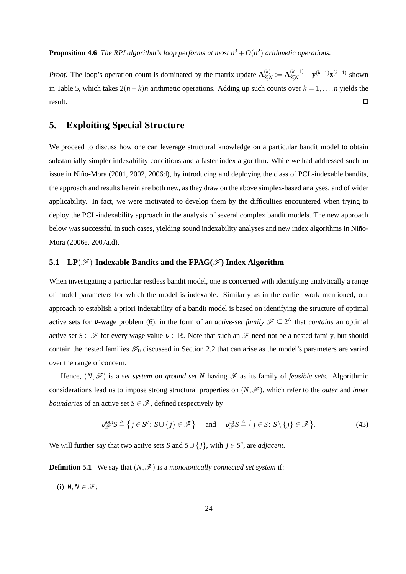**Proposition 4.6** *The RPI algorithm's loop performs at most*  $n^3 + O(n^2)$  *arithmetic operations.* 

*Proof.* The loop's operation count is dominated by the matrix update  $A_{S}^{(k)}$  $S_{k}^{c}N := \mathbf{A}_{S_{k}^{c}N}^{(k-1)}$  $S_{k}^{c}N$  – **y**<sup>(*k*−1)</sup>**z**<sup>(*k*−1)</sup> shown in Table 5, which takes  $2(n-k)n$  arithmetic operations. Adding up such counts over  $k = 1, \ldots, n$  yields the  $\Box$  result.

# **5. Exploiting Special Structure**

We proceed to discuss how one can leverage structural knowledge on a particular bandit model to obtain substantially simpler indexability conditions and a faster index algorithm. While we had addressed such an issue in Niño-Mora (2001, 2002, 2006d), by introducing and deploying the class of PCL-indexable bandits, the approach and results herein are both new, as they draw on the above simplex-based analyses, and of wider applicability. In fact, we were motivated to develop them by the difficulties encountered when trying to deploy the PCL-indexability approach in the analysis of several complex bandit models. The new approach below was successful in such cases, yielding sound indexability analyses and new index algorithms in Niño-Mora (2006e, 2007a,d).

#### **5.1** LP $(\mathcal{F})$ -Indexable Bandits and the FPAG $(\mathcal{F})$  Index Algorithm

When investigating a particular restless bandit model, one is concerned with identifying analytically a range of model parameters for which the model is indexable. Similarly as in the earlier work mentioned, our approach to establish a priori indexability of a bandit model is based on identifying the structure of optimal active sets for v-wage problem (6), in the form of an *active-set family*  $\mathscr{F} \subseteq 2^N$  that *contains* an optimal active set *S* ∈  $\mathcal{F}$  for every wage value  $v \in \mathbb{R}$ . Note that such an  $\mathcal{F}$  need not be a nested family, but should contain the nested families  $\mathscr{F}_0$  discussed in Section 2.2 that can arise as the model's parameters are varied over the range of concern.

Hence,  $(N, \mathcal{F})$  is a *set system* on *ground set* N having  $\mathcal F$  as its family of *feasible sets*. Algorithmic considerations lead us to impose strong structural properties on  $(N, \mathcal{F})$ , which refer to the *outer* and *inner boundaries* of an active set  $S \in \mathcal{F}$ , defined respectively by

$$
\partial_{\mathscr{F}}^{\text{out}} S \triangleq \left\{ j \in S^c : S \cup \{ j \} \in \mathscr{F} \right\} \quad \text{and} \quad \partial_{\mathscr{F}}^{\text{in}} S \triangleq \left\{ j \in S : S \setminus \{ j \} \in \mathscr{F} \right\}.
$$
 (43)

We will further say that two active sets *S* and  $S \cup \{j\}$ , with  $j \in S^c$ , are *adjacent*.

**Definition 5.1** We say that  $(N, \mathcal{F})$  is a *monotonically connected set system* if:

(i)  $\emptyset, N \in \mathscr{F}$ ;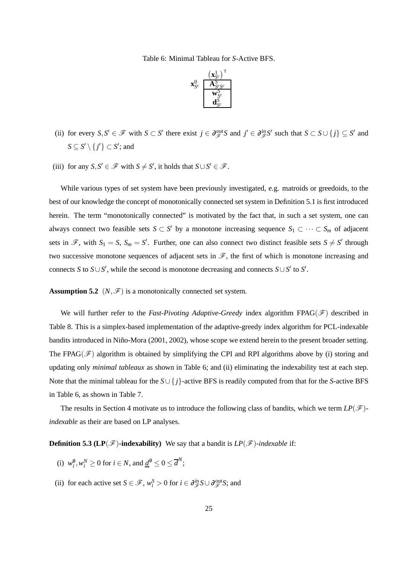Table 6: Minimal Tableau for *S*-Active BFS.



- (ii) for every  $S, S' \in \mathcal{F}$  with  $S \subset S'$  there exist  $j \in \partial_{\mathcal{F}}^{\text{out}}S$  and  $j' \in \partial_{\mathcal{F}}^{\text{in}}S'$  such that  $S \subset S \cup \{j\} \subseteq S'$  and  $S \subseteq S' \setminus \{j'\} \subset S';$  and
- (iii) for any  $S, S' \in \mathcal{F}$  with  $S \neq S'$ , it holds that  $S \cup S' \in \mathcal{F}$ .

While various types of set system have been previously investigated, e.g. matroids or greedoids, to the best of our knowledge the concept of monotonically connected set system in Definition 5.1 is first introduced herein. The term "monotonically connected" is motivated by the fact that, in such a set system, one can always connect two feasible sets  $S \subset S'$  by a monotone increasing sequence  $S_1 \subset \cdots \subset S_m$  of adjacent sets in  $\mathscr{F}$ , with  $S_1 = S$ ,  $S_m = S'$ . Further, one can also connect two distinct feasible sets  $S \neq S'$  through two successive monotone sequences of adjacent sets in  $\mathscr{F}$ , the first of which is monotone increasing and connects *S* to *S*∪*S*<sup> $\prime$ </sup>, while the second is monotone decreasing and connects *S*∪*S*<sup> $\prime$ </sup> to *S*<sup> $\prime$ </sup>.

**Assumption 5.2**  $(N, \mathcal{F})$  is a monotonically connected set system.

We will further refer to the *Fast-Pivoting Adaptive-Greedy* index algorithm FPAG( $\mathscr F$ ) described in Table 8. This is a simplex-based implementation of the adaptive-greedy index algorithm for PCL-indexable bandits introduced in Niño-Mora (2001, 2002), whose scope we extend herein to the present broader setting. The FPAG( $\mathcal{F}$ ) algorithm is obtained by simplifying the CPI and RPI algorithms above by (i) storing and updating only *minimal tableaux* as shown in Table 6; and (ii) eliminating the indexability test at each step. Note that the minimal tableau for the *S*∪ { *j*}-active BFS is readily computed from that for the *S*-active BFS in Table 6, as shown in Table 7.

The results in Section 4 motivate us to introduce the following class of bandits, which we term  $LP(\mathscr{F})$ *indexable* as their are based on LP analyses.

**Definition 5.3 (LP(** $\mathcal{F}$ **)-indexability)** We say that a bandit is  $LP(\mathcal{F})$ -indexable if:

- (i)  $w_i^0, w_i^N \ge 0$  for  $i \in N$ , and  $\underline{d}^0 \le 0 \le \overline{d}^N$ ;
- (ii) for each active set  $S \in \mathcal{F}$ ,  $w_i^S > 0$  for  $i \in \partial_{\mathcal{F}}^{\text{in}} S \cup \partial_{\mathcal{F}}^{\text{out}} S$ ; and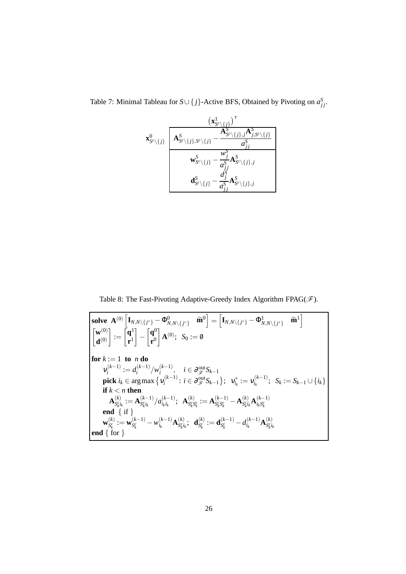Table 7: Minimal Tableau for  $S \cup \{j\}$ -Active BFS, Obtained by Pivoting on  $a_{jj}^S$ .

$$
\mathbf{x}_{S^c\backslash\{j\}}^0 \underbrace{\mathbf{A}_{S^c\backslash\{j\}}^S, \mathbf{A}_{S^c\backslash\{j\},j}^S \mathbf{A}_{S^c\backslash\{j\},j}^S, \mathbf{A}_{j,S^c\backslash\{j\}}^S}_{\mathbf{w}_{S^c\backslash\{j\}}^S, \mathbf{w}_{j\neq j}^S}^{\mathbf{A}_{S^c\backslash\{j\},j}^S} \overline{\mathbf{A}_{j\neq j}^S}}_{\mathbf{w}_{S^c\backslash\{j\}}^S, \mathbf{a}_{j\neq j}^S, \mathbf{a}_{S^c\backslash\{j\},j}^S}
$$

Table 8: The Fast-Pivoting Adaptive-Greedy Index Algorithm FPAG( $\mathscr F$ ).

**solve** 
$$
\mathbf{A}^{(0)} \begin{bmatrix} \mathbf{I}_{N,N \setminus \{j^*\}} - \Phi_{N,N \setminus \{j^*\}}^0 & \widetilde{\mathbf{m}}^0 \end{bmatrix} = \begin{bmatrix} \mathbf{I}_{N,N \setminus \{j^*\}} - \Phi_{N,N \setminus \{j^*\}}^1 & \widetilde{\mathbf{m}}^1 \end{bmatrix}
$$

$$
\begin{bmatrix} \mathbf{w}^{(0)} \\ \mathbf{d}^{(0)} \end{bmatrix} := \begin{bmatrix} \mathbf{q}^1 \\ \mathbf{r}^1 \end{bmatrix} - \begin{bmatrix} \mathbf{q}^0 \\ \mathbf{r}^0 \end{bmatrix} \mathbf{A}^{(0)}; \quad S_0 := 0
$$
  
\n**for** 
$$
k := 1 \text{ to } n \text{ do}
$$

$$
v_i^{(k-1)} := d_i^{(k-1)}/w_i^{(k-1)}, \quad i \in \partial_{\mathcal{F}}^{\text{out}} S_{k-1}
$$

$$
\text{pick } i_k \in \arg \max \{ v_i^{(k-1)} : i \in \partial_{\mathcal{F}}^{\text{out}} S_{k-1} \}; \quad v_{i_k}^* := v_{i_k}^{(k-1)}; \quad S_k := S_{k-1} \cup \{i_k\}
$$

$$
\text{if } k < n \text{ then}
$$

$$
\mathbf{A}_{S_{k}^{(k)}}^{(k)} := \mathbf{A}_{S_{k}^{(k)}}^{(k-1)}/a_{i_k i_k}^{(k-1)}; \quad \mathbf{A}_{S_{k}^{(c)} S_{k}^{(c)}}^{(k)} := \mathbf{A}_{S_{k}^{(c)} K}^{(k-1)} - \mathbf{A}_{S_{k}^{(k)}}^{(k)} \mathbf{A}_{i_k S_{k}^{(c)}}^{(k-1)}
$$

$$
\text{end } \{ \text{if } \mathbf{W}_{S_k}^{(k)} := \mathbf{w}_{S_k}^{(k-1)} - w_{i_k}^{(k-1)} \mathbf{A}_{S_{k}^{(k)}}^{(k)}; \quad \mathbf{d}_{S_k}^{(k)} := \mathbf{d}_{S_k}^{(k-1)} - d_{i_k}^{(k-1)} \mathbf{A}_{S_{k}^{(k)}}^{(k)}
$$
<math display="block</b>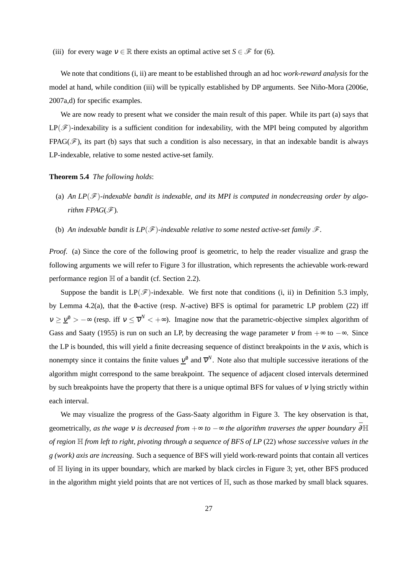(iii) for every wage  $v \in \mathbb{R}$  there exists an optimal active set  $S \in \mathcal{F}$  for (6).

We note that conditions (i, ii) are meant to be established through an ad hoc *work-reward analysis* for the model at hand, while condition (iii) will be typically established by DP arguments. See Niño-Mora (2006e, 2007a,d) for specific examples.

We are now ready to present what we consider the main result of this paper. While its part (a) says that  $LP(\mathscr{F})$ -indexability is a sufficient condition for indexability, with the MPI being computed by algorithm FPAG( $\mathcal{F}$ ), its part (b) says that such a condition is also necessary, in that an indexable bandit is always LP-indexable, relative to some nested active-set family.

#### **Theorem 5.4** *The following holds*:

- (a) *An LP*(F)*-indexable bandit is indexable, and its MPI is computed in nondecreasing order by algorithm FPAG* $(\mathscr{F})$ *.*
- (b) An indexable bandit is  $LP(\mathscr{F})$ -indexable relative to some nested active-set family  $\mathscr{F}$ .

*Proof.* (a) Since the core of the following proof is geometric, to help the reader visualize and grasp the following arguments we will refer to Figure 3 for illustration, which represents the achievable work-reward performance region H of a bandit (cf. Section 2.2).

Suppose the bandit is  $LP(\mathscr{F})$ -indexable. We first note that conditions (i, ii) in Definition 5.3 imply, by Lemma 4.2(a), that the 0-active (resp. *N*-active) BFS is optimal for parametric LP problem (22) iff  $v \ge \underline{v}^0 > -\infty$  (resp. iff  $v \le \overline{v}^N < +\infty$ ). Imagine now that the parametric-objective simplex algorithm of Gass and Saaty (1955) is run on such an LP, by decreasing the wage parameter  $v$  from  $+\infty$  to  $-\infty$ . Since the LP is bounded, this will yield a finite decreasing sequence of distinct breakpoints in the <sup>ν</sup> axis, which is nonempty since it contains the finite values  $\underline{v}^0$  and  $\overline{v}^N$ . Note also that multiple successive iterations of the algorithm might correspond to the same breakpoint. The sequence of adjacent closed intervals determined by such breakpoints have the property that there is a unique optimal BFS for values of  $\nu$  lying strictly within each interval.

We may visualize the progress of the Gass-Saaty algorithm in Figure 3. The key observation is that, geometrically, *as the wage* v *is decreased from*  $+\infty$  *to*  $-\infty$  *the algorithm traverses the upper boundary*  $\bar{\partial} \mathbb{H}$ *of region* H *from left to right, pivoting through a sequence of BFS of LP* (22) *whose successive values in the g (work) axis are increasing*. Such a sequence of BFS will yield work-reward points that contain all vertices of H liying in its upper boundary, which are marked by black circles in Figure 3; yet, other BFS produced in the algorithm might yield points that are not vertices of  $\mathbb{H}$ , such as those marked by small black squares.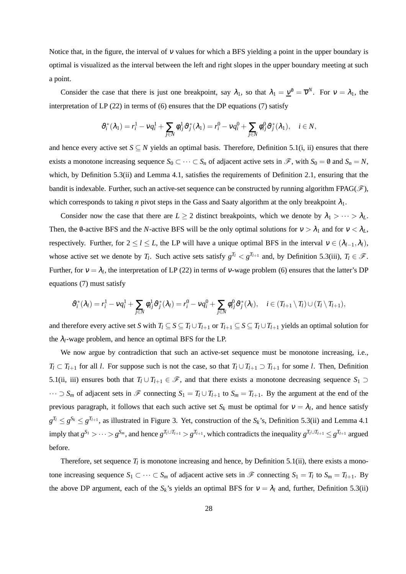Notice that, in the figure, the interval of  $v$  values for which a BFS yielding a point in the upper boundary is optimal is visualized as the interval between the left and right slopes in the upper boundary meeting at such a point.

Consider the case that there is just one breakpoint, say  $\lambda_1$ , so that  $\lambda_1 = \underline{v}^0 = \overline{v}^N$ . For  $v = \lambda_1$ , the interpretation of LP (22) in terms of (6) ensures that the DP equations (7) satisfy

$$
\vartheta_i^*(\lambda_1) = r_i^1 - vq_i^1 + \sum_{j \in N} \varphi_{ij}^1 \vartheta_j^*(\lambda_1) = r_i^0 - vq_i^0 + \sum_{j \in N} \varphi_{ij}^0 \vartheta_j^*(\lambda_1), \quad i \in N,
$$

and hence every active set  $S \subseteq N$  yields an optimal basis. Therefore, Definition 5.1(i, ii) ensures that there exists a monotone increasing sequence  $S_0 \subset \cdots \subset S_n$  of adjacent active sets in  $\mathscr{F}$ , with  $S_0 = \emptyset$  and  $S_n = N$ , which, by Definition 5.3(ii) and Lemma 4.1, satisfies the requirements of Definition 2.1, ensuring that the bandit is indexable. Further, such an active-set sequence can be constructed by running algorithm FPAG( $\mathscr{F}$ ), which corresponds to taking *n* pivot steps in the Gass and Saaty algorithm at the only breakpoint  $\lambda_1$ .

Consider now the case that there are  $L \ge 2$  distinct breakpoints, which we denote by  $\lambda_1 > \cdots > \lambda_L$ . Then, the 0-active BFS and the *N*-active BFS will be the only optimal solutions for  $v > \lambda_1$  and for  $v < \lambda_L$ , respectively. Further, for  $2 \le l \le L$ , the LP will have a unique optimal BFS in the interval  $v \in (\lambda_{l-1}, \lambda_l)$ , whose active set we denote by  $T_l$ . Such active sets satisfy  $g^{T_l} < g^{T_{l+1}}$  and, by Definition 5.3(iii),  $T_l \in \mathcal{F}$ . Further, for  $v = \lambda_l$ , the interpretation of LP (22) in terms of v-wage problem (6) ensures that the latter's DP equations (7) must satisfy

$$
\vartheta_i^*(\lambda_l)=r_i^1-vq_i^1+\sum_{j\in\mathcal{N}}\varphi_{ij}^1\vartheta_j^*(\lambda_l)=r_i^0-vq_i^0+\sum_{j\in\mathcal{N}}\varphi_{ij}^0\vartheta_j^*(\lambda_l),\quad i\in(T_{l+1}\setminus T_l)\cup(T_l\setminus T_{l+1}),
$$

and therefore every active set *S* with  $T_l \subseteq S \subseteq T_l \cup T_{l+1}$  or  $T_{l+1} \subseteq S \subseteq T_l \cup T_{l+1}$  yields an optimal solution for the  $\lambda_l$ -wage problem, and hence an optimal BFS for the LP.

We now argue by contradiction that such an active-set sequence must be monotone increasing, i.e., *T*<sub>l</sub> ⊂ *T*<sub>*l*+1</sub> for all *l*. For suppose such is not the case, so that  $T_l \cup T_{l+1} \supset T_{l+1}$  for some *l*. Then, Definition 5.1(ii, iii) ensures both that  $T_l \cup T_{l+1} \in \mathcal{F}$ , and that there exists a monotone decreasing sequence  $S_1 \supset$  $\cdots$  ⊃  $S_m$  of adjacent sets in  $\mathcal F$  connecting  $S_1 = T_l \cup T_{l+1}$  to  $S_m = T_{l+1}$ . By the argument at the end of the previous paragraph, it follows that each such active set  $S_k$  must be optimal for  $v = \lambda_l$ , and hence satisfy  $g^{T_l} \le g^{S_k} \le g^{T_{l+1}}$ , as illustrated in Figure 3. Yet, construction of the  $S_k$ 's, Definition 5.3(ii) and Lemma 4.1 imply that  $g^{S_1} > \cdots > g^{S_m}$ , and hence  $g^{T_l \cup T_{l+1}} > g^{T_{l+1}}$ , which contradicts the inequality  $g^{T_l \cup T_{l+1}} \leq g^{T_{l+1}}$  argued before.

Therefore, set sequence  $T_l$  is monotone increasing and hence, by Definition 5.1(ii), there exists a monotone increasing sequence  $S_1 \subset \cdots \subset S_m$  of adjacent active sets in  $\mathscr F$  connecting  $S_1 = T_l$  to  $S_m = T_{l+1}$ . By the above DP argument, each of the  $S_k$ 's yields an optimal BFS for  $v = \lambda_l$  and, further, Definition 5.3(ii)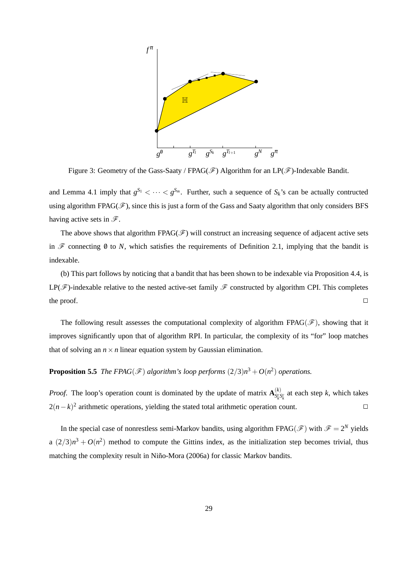

Figure 3: Geometry of the Gass-Saaty / FPAG( $\mathscr F$ ) Algorithm for an LP( $\mathscr F$ )-Indexable Bandit.

and Lemma 4.1 imply that  $g^{S_1} < \cdots < g^{S_m}$ . Further, such a sequence of  $S_k$ 's can be actually contructed using algorithm FPAG( $\mathscr F$ ), since this is just a form of the Gass and Saaty algorithm that only considers BFS having active sets in  $\mathscr{F}$ .

The above shows that algorithm FPAG( $\mathscr F$ ) will construct an increasing sequence of adjacent active sets in  $\mathscr F$  connecting  $\emptyset$  to *N*, which satisfies the requirements of Definition 2.1, implying that the bandit is indexable.

(b) This part follows by noticing that a bandit that has been shown to be indexable via Proposition 4.4, is LP( $\mathcal F$ )-indexable relative to the nested active-set family  $\mathcal F$  constructed by algorithm CPI. This completes the proof.  $\Box$ 

The following result assesses the computational complexity of algorithm FPAG( $\mathscr{F}$ ), showing that it improves significantly upon that of algorithm RPI. In particular, the complexity of its "for" loop matches that of solving an  $n \times n$  linear equation system by Gaussian elimination.

**Proposition 5.5** *The FPAG*( $\mathscr{F}$ ) algorithm's loop performs  $(2/3)n^3 + O(n^2)$  operations.

*Proof.* The loop's operation count is dominated by the update of matrix  $\mathbf{A}^{(k)}_{s}$  $S_k^{\text{c}} S_k^{\text{c}}$  at each step *k*, which takes  $2(n-k)^2$  arithmetic operations, yielding the stated total arithmetic operation count.

In the special case of nonrestless semi-Markov bandits, using algorithm FPAG( $\mathscr{F}$ ) with  $\mathscr{F} = 2^N$  yields a  $(2/3)n^3 + O(n^2)$  method to compute the Gittins index, as the initialization step becomes trivial, thus matching the complexity result in Niño-Mora (2006a) for classic Markov bandits.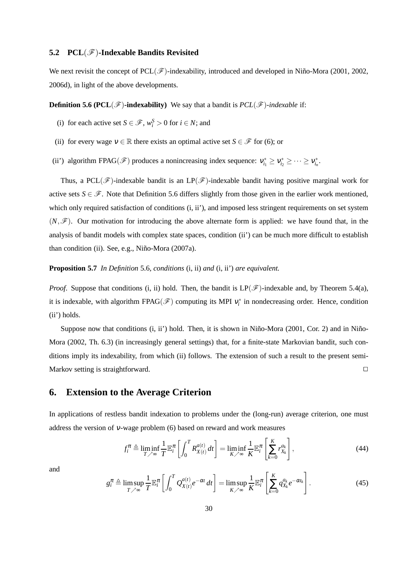#### **5.2 PCL**(F)**-Indexable Bandits Revisited**

We next revisit the concept of  $PCL(\mathcal{F})$ -indexability, introduced and developed in Niño-Mora (2001, 2002, 2006d), in light of the above developments.

**Definition 5.6 (PCL(** $\mathscr{F}$ **)-indexability)** We say that a bandit is  $PCL(\mathscr{F})$ -indexable if:

- (i) for each active set  $S \in \mathcal{F}$ ,  $w_i^S > 0$  for  $i \in N$ ; and
- (ii) for every wage  $v \in \mathbb{R}$  there exists an optimal active set  $S \in \mathcal{F}$  for (6); or
- (ii') algorithm FPAG( $\mathscr{F}$ ) produces a nonincreasing index sequence:  $v_{i_1}^* \ge v_{i_2}^* \ge \cdots \ge v_{i_n}^*$ .

Thus, a PCL( $\mathscr F$ )-indexable bandit is an LP( $\mathscr F$ )-indexable bandit having positive marginal work for active sets  $S \in \mathcal{F}$ . Note that Definition 5.6 differs slightly from those given in the earlier work mentioned, which only required satisfaction of conditions (i, ii'), and imposed less stringent requirements on set system  $(N,\mathscr{F})$ . Our motivation for introducing the above alternate form is applied: we have found that, in the analysis of bandit models with complex state spaces, condition (ii') can be much more difficult to establish than condition (ii). See, e.g., Niño-Mora (2007a).

**Proposition 5.7** *In Definition* 5.6*, conditions* (i, ii) *and* (i, ii') *are equivalent.*

*Proof.* Suppose that conditions (i, ii) hold. Then, the bandit is  $LP(\mathcal{F})$ -indexable and, by Theorem 5.4(a), it is indexable, with algorithm FPAG( $\mathscr{F}$ ) computing its MPI  $v_i^*$  in nondecreasing order. Hence, condition (ii') holds.

Suppose now that conditions  $(i, ii')$  hold. Then, it is shown in Niño-Mora  $(2001, Cor. 2)$  and in Niño-Mora (2002, Th. 6.3) (in increasingly general settings) that, for a finite-state Markovian bandit, such conditions imply its indexability, from which (ii) follows. The extension of such a result to the present semi-Markov setting is straightforward.

### **6. Extension to the Average Criterion**

In applications of restless bandit indexation to problems under the (long-run) average criterion, one must address the version of <sup>ν</sup>-wage problem (6) based on reward and work measures

$$
f_i^{\pi} \triangleq \liminf_{T \nearrow \infty} \frac{1}{T} \mathbb{E}_i^{\pi} \left[ \int_0^T R_{X(t)}^{a(t)} dt \right] = \liminf_{K \nearrow \infty} \frac{1}{K} \mathbb{E}_i^{\pi} \left[ \sum_{k=0}^K r_{X_k}^{a_k} \right],
$$
(44)

and

$$
g_i^{\pi} \triangleq \limsup_{T \nearrow \infty} \frac{1}{T} \mathbb{E}_i^{\pi} \left[ \int_0^T Q_{X(t)}^{a(t)} e^{-\alpha t} dt \right] = \limsup_{K \nearrow \infty} \frac{1}{K} \mathbb{E}_i^{\pi} \left[ \sum_{k=0}^K q_{X_k}^{a_k} e^{-\alpha t_k} \right].
$$
 (45)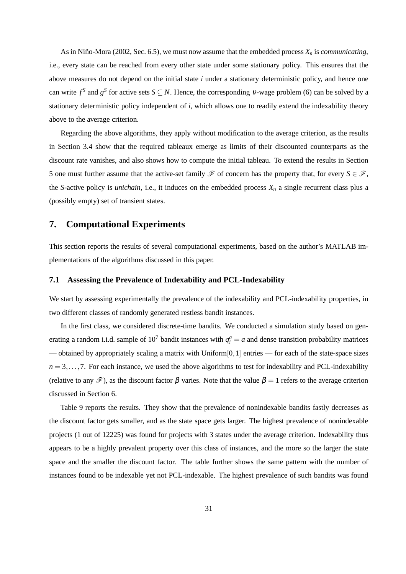As in Niño-Mora (2002, Sec. 6.5), we must now assume that the embedded process  $X_n$  is *communicating*, i.e., every state can be reached from every other state under some stationary policy. This ensures that the above measures do not depend on the initial state *i* under a stationary deterministic policy, and hence one can write  $f^S$  and  $g^S$  for active sets  $S \subseteq N$ . Hence, the corresponding  $v$ -wage problem (6) can be solved by a stationary deterministic policy independent of *i*, which allows one to readily extend the indexability theory above to the average criterion.

Regarding the above algorithms, they apply without modification to the average criterion, as the results in Section 3.4 show that the required tableaux emerge as limits of their discounted counterparts as the discount rate vanishes, and also shows how to compute the initial tableau. To extend the results in Section 5 one must further assume that the active-set family  $\mathscr F$  of concern has the property that, for every  $S \in \mathscr F$ , the *S*-active policy is *unichain*, i.e., it induces on the embedded process  $X_n$  a single recurrent class plus a (possibly empty) set of transient states.

### **7. Computational Experiments**

This section reports the results of several computational experiments, based on the author's MATLAB implementations of the algorithms discussed in this paper.

#### **7.1 Assessing the Prevalence of Indexability and PCL-Indexability**

We start by assessing experimentally the prevalence of the indexability and PCL-indexability properties, in two different classes of randomly generated restless bandit instances.

In the first class, we considered discrete-time bandits. We conducted a simulation study based on generating a random i.i.d. sample of  $10<sup>7</sup>$  bandit instances with  $q<sub>i</sub><sup>a</sup> = a$  and dense transition probability matrices — obtained by appropriately scaling a matrix with Uniform[0,1] entries — for each of the state-space sizes  $n = 3, \ldots, 7$ . For each instance, we used the above algorithms to test for indexability and PCL-indexability (relative to any  $\mathscr{F}$ ), as the discount factor  $\beta$  varies. Note that the value  $\beta = 1$  refers to the average criterion discussed in Section 6.

Table 9 reports the results. They show that the prevalence of nonindexable bandits fastly decreases as the discount factor gets smaller, and as the state space gets larger. The highest prevalence of nonindexable projects (1 out of 12225) was found for projects with 3 states under the average criterion. Indexability thus appears to be a highly prevalent property over this class of instances, and the more so the larger the state space and the smaller the discount factor. The table further shows the same pattern with the number of instances found to be indexable yet not PCL-indexable. The highest prevalence of such bandits was found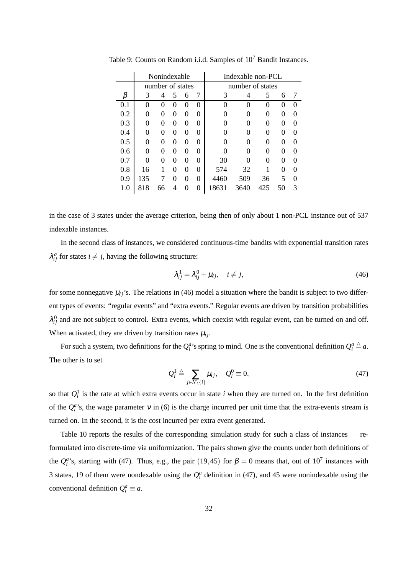|     |     | Nonindexable     |   |          |          | Indexable non-PCL |      |                   |    |                   |
|-----|-----|------------------|---|----------|----------|-------------------|------|-------------------|----|-------------------|
|     |     | number of states |   |          |          | number of states  |      |                   |    |                   |
| β   | 3   | 4                | 5 | 6        | 7        | 3                 | 4    | 5                 | 6  | 7                 |
| 0.1 | 0   | 0                | 0 | $\theta$ | 0        | 0                 | 0    | $\mathbf{\Omega}$ | 0  | 0                 |
| 0.2 | 0   | 0                | 0 | 0        | 0        |                   | 0    | 0                 | 0  |                   |
| 0.3 | 0   | 0                | 0 | 0        | 0        | 0                 | 0    | 0                 | 0  | $\mathbf{\Omega}$ |
| 0.4 | 0   | 0                | 0 | 0        | 0        | 0                 | 0    | 0                 | 0  | ∩                 |
| 0.5 | 0   | 0                | 0 | 0        | 0        | 0                 | 0    | 0                 | 0  | ∩                 |
| 0.6 | 0   | 0                | 0 | 0        | $\Omega$ | 0                 | 0    | 0                 | 0  | $\mathbf{\Omega}$ |
| 0.7 | 0   | 0                | 0 | $\Omega$ | $\Omega$ | 30                | 0    | 0                 | 0  | 0                 |
| 0.8 | 16  | 1                | 0 | 0        | 0        | 574               | 32   |                   | 0  | ∩                 |
| 0.9 | 135 |                  | 0 | 0        | $\theta$ | 4460              | 509  | 36                | 5  | ∩                 |
| 1.0 | 818 | 66               | 4 |          | 0        | 18631             | 3640 | 425               | 50 | 3                 |

Table 9: Counts on Random i.i.d. Samples of 10<sup>7</sup> Bandit Instances.

in the case of 3 states under the average criterion, being then of only about 1 non-PCL instance out of 537 indexable instances.

In the second class of instances, we considered continuous-time bandits with exponential transition rates  $\lambda_{ij}^a$  for states  $i \neq j$ , having the following structure:

$$
\lambda_{ij}^1 = \lambda_{ij}^0 + \mu_{ij}, \quad i \neq j,
$$
\n(46)

for some nonnegative  $\mu_{ij}$ 's. The relations in (46) model a situation where the bandit is subject to two different types of events: "regular events" and "extra events." Regular events are driven by transition probabilities  $\lambda_{ij}^0$  and are not subject to control. Extra events, which coexist with regular event, can be turned on and off. When activated, they are driven by transition rates  $\mu_{ij}$ .

For such a system, two definitions for the  $Q_i^a$ 's spring to mind. One is the conventional definition  $Q_i^a \triangleq a$ . The other is to set

$$
Q_i^1 \triangleq \sum_{j \in N \setminus \{i\}} \mu_{ij}, \quad Q_i^0 \equiv 0,\tag{47}
$$

so that  $Q_i^1$  is the rate at which extra events occur in state *i* when they are turned on. In the first definition of the  $Q_i^a$ 's, the wage parameter  $v$  in (6) is the charge incurred per unit time that the extra-events stream is turned on. In the second, it is the cost incurred per extra event generated.

Table 10 reports the results of the corresponding simulation study for such a class of instances — reformulated into discrete-time via uniformization. The pairs shown give the counts under both definitions of the  $Q_i^a$ 's, starting with (47). Thus, e.g., the pair (19,45) for  $\beta = 0$  means that, out of 10<sup>7</sup> instances with 3 states, 19 of them were nondexable using the  $Q_i^a$  definition in (47), and 45 were nonindexable using the conventional definition  $Q_i^a \equiv a$ .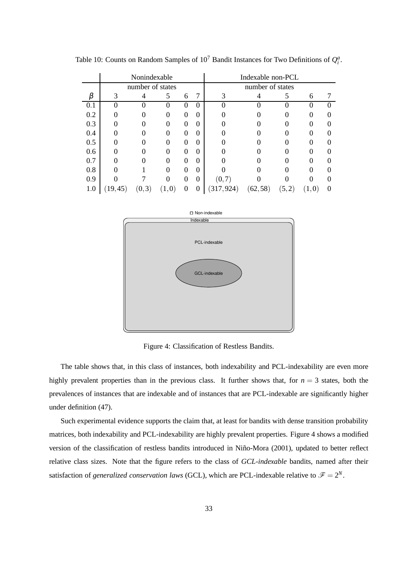|     |       | Nonindexable     |                  |          |                  | Indexable non-PCL |          |       |     |  |
|-----|-------|------------------|------------------|----------|------------------|-------------------|----------|-------|-----|--|
|     |       | number of states |                  |          |                  | number of states  |          |       |     |  |
|     | 3     |                  | 5                | 6        | 7                | 3                 |          |       | 6   |  |
| 0.1 |       |                  | 0                | $\Omega$ | $\theta$         |                   | $\Omega$ |       | 0   |  |
| 0.2 |       |                  |                  | 0        | $\overline{0}$   |                   |          |       |     |  |
| 0.3 |       |                  |                  |          | $\theta$         |                   |          |       |     |  |
| 0.4 |       |                  |                  |          | $\boldsymbol{0}$ |                   |          |       |     |  |
| 0.5 |       |                  |                  |          | $\boldsymbol{0}$ |                   |          |       |     |  |
| 0.6 |       |                  |                  |          | $\theta$         |                   |          |       |     |  |
| 0.7 |       | 0                |                  | 0        | $\theta$         |                   |          |       |     |  |
| 0.8 |       |                  | Ω                | $\Omega$ | $\theta$         |                   |          |       |     |  |
| 0.9 |       |                  |                  | $\Omega$ | $\theta$         | (0,7)             |          |       |     |  |
| 1.0 | 19,45 | 3)<br>$\theta$ , | $\vert 0\rangle$ |          | 0                | .924`             | (62, 58) | (5,2) | 1.0 |  |

Table 10: Counts on Random Samples of  $10^7$  Bandit Instances for Two Definitions of  $Q_i^a$ .



Figure 4: Classification of Restless Bandits.

The table shows that, in this class of instances, both indexability and PCL-indexability are even more highly prevalent properties than in the previous class. It further shows that, for *n* = 3 states, both the prevalences of instances that are indexable and of instances that are PCL-indexable are significantly higher under definition (47).

Such experimental evidence supports the claim that, at least for bandits with dense transition probability matrices, both indexability and PCL-indexability are highly prevalent properties. Figure 4 shows a modified version of the classification of restless bandits introduced in Niño-Mora (2001), updated to better reflect relative class sizes. Note that the figure refers to the class of *GCL-indexable* bandits, named after their satisfaction of *generalized conservation laws* (GCL), which are PCL-indexable relative to  $\mathscr{F} = 2^N$ .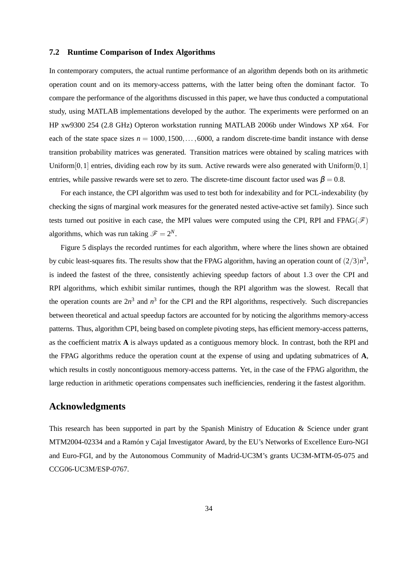#### **7.2 Runtime Comparison of Index Algorithms**

In contemporary computers, the actual runtime performance of an algorithm depends both on its arithmetic operation count and on its memory-access patterns, with the latter being often the dominant factor. To compare the performance of the algorithms discussed in this paper, we have thus conducted a computational study, using MATLAB implementations developed by the author. The experiments were performed on an HP xw9300 254 (2.8 GHz) Opteron workstation running MATLAB 2006b under Windows XP x64. For each of the state space sizes  $n = 1000, 1500, \ldots, 6000$ , a random discrete-time bandit instance with dense transition probability matrices was generated. Transition matrices were obtained by scaling matrices with Uniform $[0,1]$  entries, dividing each row by its sum. Active rewards were also generated with Uniform $[0,1]$ entries, while passive rewards were set to zero. The discrete-time discount factor used was  $\beta = 0.8$ .

For each instance, the CPI algorithm was used to test both for indexability and for PCL-indexability (by checking the signs of marginal work measures for the generated nested active-active set family). Since such tests turned out positive in each case, the MPI values were computed using the CPI, RPI and FPAG( $\mathscr{F}$ ) algorithms, which was run taking  $\mathscr{F} = 2^N$ .

Figure 5 displays the recorded runtimes for each algorithm, where where the lines shown are obtained by cubic least-squares fits. The results show that the FPAG algorithm, having an operation count of  $(2/3)n^3$ , is indeed the fastest of the three, consistently achieving speedup factors of about 1.3 over the CPI and RPI algorithms, which exhibit similar runtimes, though the RPI algorithm was the slowest. Recall that the operation counts are  $2n^3$  and  $n^3$  for the CPI and the RPI algorithms, respectively. Such discrepancies between theoretical and actual speedup factors are accounted for by noticing the algorithms memory-access patterns. Thus, algorithm CPI, being based on complete pivoting steps, has efficient memory-access patterns, as the coefficient matrix **A** is always updated as a contiguous memory block. In contrast, both the RPI and the FPAG algorithms reduce the operation count at the expense of using and updating submatrices of **A**, which results in costly noncontiguous memory-access patterns. Yet, in the case of the FPAG algorithm, the large reduction in arithmetic operations compensates such inefficiencies, rendering it the fastest algorithm.

# **Acknowledgments**

This research has been supported in part by the Spanish Ministry of Education & Science under grant MTM2004-02334 and a Ramón y Cajal Investigator Award, by the EU's Networks of Excellence Euro-NGI and Euro-FGI, and by the Autonomous Community of Madrid-UC3M's grants UC3M-MTM-05-075 and CCG06-UC3M/ESP-0767.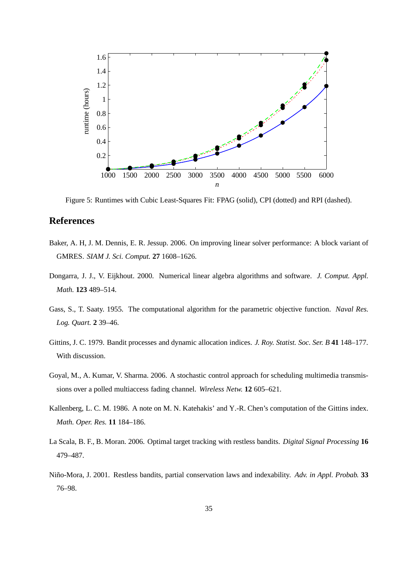

Figure 5: Runtimes with Cubic Least-Squares Fit: FPAG (solid), CPI (dotted) and RPI (dashed).

# **References**

- Baker, A. H, J. M. Dennis, E. R. Jessup. 2006. On improving linear solver performance: A block variant of GMRES. *SIAM J. Sci. Comput.* **27** 1608–1626.
- Dongarra, J. J., V. Eijkhout. 2000. Numerical linear algebra algorithms and software. *J. Comput. Appl. Math.* **123** 489–514.
- Gass, S., T. Saaty. 1955. The computational algorithm for the parametric objective function. *Naval Res. Log. Quart.* **2** 39–46.
- Gittins, J. C. 1979. Bandit processes and dynamic allocation indices. *J. Roy. Statist. Soc. Ser. B* **41** 148–177. With discussion.
- Goyal, M., A. Kumar, V. Sharma. 2006. A stochastic control approach for scheduling multimedia transmissions over a polled multiaccess fading channel. *Wireless Netw.* **12** 605–621.
- Kallenberg, L. C. M. 1986. A note on M. N. Katehakis' and Y.-R. Chen's computation of the Gittins index. *Math. Oper. Res.* **11** 184–186.
- La Scala, B. F., B. Moran. 2006. Optimal target tracking with restless bandits. *Digital Signal Processing* **16** 479–487.
- Niño-Mora, J. 2001. Restless bandits, partial conservation laws and indexability. *Adv. in Appl. Probab.* **33** 76–98.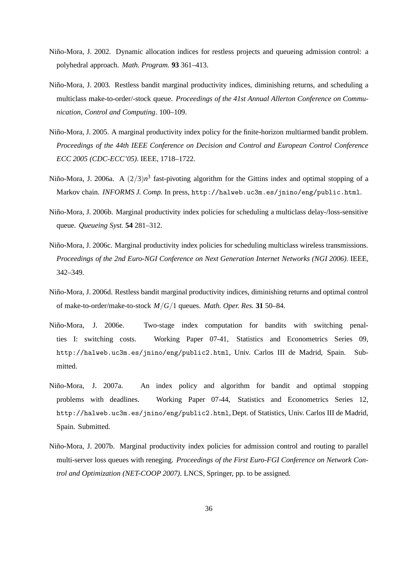- Niño-Mora, J. 2002. Dynamic allocation indices for restless projects and queueing admission control: a polyhedral approach. *Math. Program.* **93** 361–413.
- Niño-Mora, J. 2003. Restless bandit marginal productivity indices, diminishing returns, and scheduling a multiclass make-to-order/-stock queue. *Proceedings of the 41st Annual Allerton Conference on Communication, Control and Computing*. 100–109.
- Niño-Mora, J. 2005. A marginal productivity index policy for the finite-horizon multiarmed bandit problem. *Proceedings of the 44th IEEE Conference on Decision and Control and European Control Conference ECC 2005 (CDC-ECC'05)*. IEEE, 1718–1722.
- Niño-Mora, J. 2006a. A  $(2/3)n^3$  fast-pivoting algorithm for the Gittins index and optimal stopping of a Markov chain. *INFORMS J. Comp.* In press, http://halweb.uc3m.es/jnino/eng/public.html.
- Niño-Mora, J. 2006b. Marginal productivity index policies for scheduling a multiclass delay-/loss-sensitive queue. *Queueing Syst.* **54** 281–312.
- Niño-Mora, J. 2006c. Marginal productivity index policies for scheduling multiclass wireless transmissions. *Proceedings of the 2nd Euro-NGI Conference on Next Generation Internet Networks (NGI 2006)*. IEEE, 342–349.
- Niño-Mora, J. 2006d. Restless bandit marginal productivity indices, diminishing returns and optimal control of make-to-order/make-to-stock *M*/*G*/1 queues. *Math. Oper. Res.* **31** 50–84.
- Niño-Mora, J. 2006e. Two-stage index computation for bandits with switching penalties I: switching costs. Working Paper 07-41, Statistics and Econometrics Series 09, http://halweb.uc3m.es/jnino/eng/public2.html, Univ. Carlos III de Madrid, Spain. Submitted.
- Niño-Mora, J. 2007a. An index policy and algorithm for bandit and optimal stopping problems with deadlines. Working Paper 07-44, Statistics and Econometrics Series 12, http://halweb.uc3m.es/jnino/eng/public2.html, Dept. of Statistics, Univ. Carlos III de Madrid, Spain. Submitted.
- Niño-Mora, J. 2007b. Marginal productivity index policies for admission control and routing to parallel multi-server loss queues with reneging. *Proceedings of the First Euro-FGI Conference on Network Control and Optimization (NET-COOP 2007)*. LNCS, Springer, pp. to be assigned.